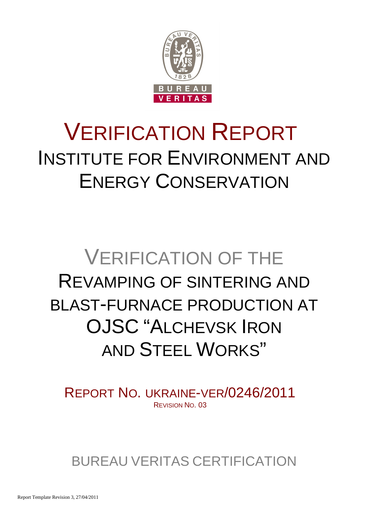

# VERIFICATION REPORT INSTITUTE FOR ENVIRONMENT AND ENERGY CONSERVATION

# VERIFICATION OF THE REVAMPING OF SINTERING AND BLAST-FURNACE PRODUCTION AT OJSC "ALCHEVSK IRON AND STEEL WORKS"

REPORT NO. UKRAINE-VER/0246/2011 REVISION NO. 03

BUREAU VERITAS CERTIFICATION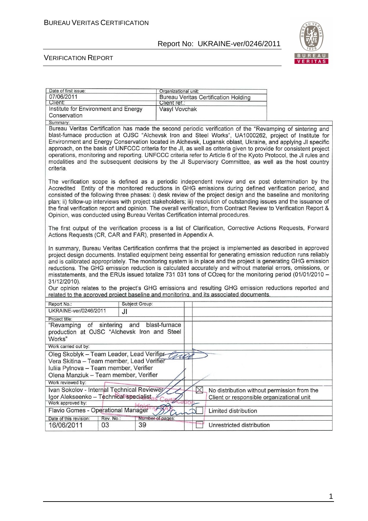

#### VERIFICATION REPORT

| Date of first issue:                                                                                                                                                                            |                   | Organizational unit: |          |                                             |  |
|-------------------------------------------------------------------------------------------------------------------------------------------------------------------------------------------------|-------------------|----------------------|----------|---------------------------------------------|--|
| 07/06/2011                                                                                                                                                                                      |                   |                      |          | <b>Bureau Veritas Certification Holding</b> |  |
| Client:                                                                                                                                                                                         |                   | Client ret.:         |          |                                             |  |
| Institute for Environment and Energy                                                                                                                                                            |                   | Vasyl Vovchak        |          |                                             |  |
| Conservation                                                                                                                                                                                    |                   |                      |          |                                             |  |
| Summary:<br>Bureau Veritas Certification has made the second periodic verification of the "Revamping of sintering and                                                                           |                   |                      |          |                                             |  |
| blast-furnace production at OJSC "Alchevsk Iron and Steel Works", UA1000262, project of Institute for                                                                                           |                   |                      |          |                                             |  |
| Environment and Energy Conservation located in Alchevsk, Lugansk oblast, Ukraine, and applying JI specific                                                                                      |                   |                      |          |                                             |  |
| approach, on the basis of UNFCCC criteria for the JI, as well as criteria given to provide for consistent project                                                                               |                   |                      |          |                                             |  |
| operations, monitoring and reporting. UNFCCC criteria refer to Article 6 of the Kyoto Protocol, the JI rules and                                                                                |                   |                      |          |                                             |  |
| modalities and the subsequent decisions by the JI Supervisory Committee, as well as the host country                                                                                            |                   |                      |          |                                             |  |
| criteria.                                                                                                                                                                                       |                   |                      |          |                                             |  |
|                                                                                                                                                                                                 |                   |                      |          |                                             |  |
| The verification scope is defined as a periodic independent review and ex post determination by the                                                                                             |                   |                      |          |                                             |  |
| Accredited Entity of the monitored reductions in GHG emissions during defined verification period, and                                                                                          |                   |                      |          |                                             |  |
| consisted of the following three phases: i) desk review of the project design and the baseline and monitoring                                                                                   |                   |                      |          |                                             |  |
| plan; ii) follow-up interviews with project stakeholders; iii) resolution of outstanding issues and the issuance of                                                                             |                   |                      |          |                                             |  |
| the final verification report and opinion. The overall verification, from Contract Review to Verification Report &                                                                              |                   |                      |          |                                             |  |
| Opinion, was conducted using Bureau Veritas Certification internal procedures.                                                                                                                  |                   |                      |          |                                             |  |
|                                                                                                                                                                                                 |                   |                      |          |                                             |  |
| The first output of the verification process is a list of Clarification, Corrective Actions Requests, Forward                                                                                   |                   |                      |          |                                             |  |
| Actions Requests (CR, CAR and FAR), presented in Appendix A.                                                                                                                                    |                   |                      |          |                                             |  |
|                                                                                                                                                                                                 |                   |                      |          |                                             |  |
| In summary, Bureau Veritas Certification confirms that the project is implemented as described in approved                                                                                      |                   |                      |          |                                             |  |
| project design documents. Installed equipment being essential for generating emission reduction runs reliably                                                                                   |                   |                      |          |                                             |  |
| and is calibrated appropriately. The monitoring system is in place and the project is generating GHG emission                                                                                   |                   |                      |          |                                             |  |
| reductions. The GHG emission reduction is calculated accurately and without material errors, omissions, or                                                                                      |                   |                      |          |                                             |  |
| misstatements, and the ERUs issued totalize 731 031 tons of CO2eq for the monitoring period (01/01/2010 -                                                                                       |                   |                      |          |                                             |  |
| 31/12/2010).                                                                                                                                                                                    |                   |                      |          |                                             |  |
| Our opinion relates to the project's GHG emissions and resulting GHG emission reductions reported and<br>related to the approved project baseline and monitoring, and its associated documents. |                   |                      |          |                                             |  |
|                                                                                                                                                                                                 |                   |                      |          |                                             |  |
| Report No:                                                                                                                                                                                      | Subject Group:    |                      |          |                                             |  |
| UKRAINE-ver/0246/2011                                                                                                                                                                           | JI                |                      |          |                                             |  |
| Project title:                                                                                                                                                                                  |                   |                      |          |                                             |  |
| "Revamping of sintering                                                                                                                                                                         | and blast-furnace |                      |          |                                             |  |
| production at OJSC "Alchevsk Iron and Steel                                                                                                                                                     |                   |                      |          |                                             |  |
| Works"                                                                                                                                                                                          |                   |                      |          |                                             |  |
| Work carried out by:                                                                                                                                                                            |                   |                      |          |                                             |  |
| Oleg Skoblyk - Team Leader, Lead Verifier                                                                                                                                                       |                   |                      |          |                                             |  |
| Vera Skitina - Team member, Lead Verifier                                                                                                                                                       |                   |                      |          |                                             |  |
| Iuliia Pylnova – Team member, Verifier                                                                                                                                                          |                   |                      |          |                                             |  |
| Olena Manziuk - Team member, Verifier                                                                                                                                                           |                   |                      |          |                                             |  |
| Work reviewed by:                                                                                                                                                                               |                   |                      |          |                                             |  |
| Ivan Sokolov - Internal Technical Reviewer                                                                                                                                                      |                   |                      | $\times$ | No distribution without permission from the |  |
| Igor Alekseenko - Technical specialist                                                                                                                                                          |                   |                      |          | Client or responsible organizational unit   |  |
| Work approved by:                                                                                                                                                                               |                   |                      |          |                                             |  |
| Flavio Gomes - Operational Manager                                                                                                                                                              |                   |                      |          | Limited distribution                        |  |
| Date of this revision:<br>Rev. No.:                                                                                                                                                             |                   | Number of pages:     |          |                                             |  |
| 16/06/2011<br>03                                                                                                                                                                                | 39                |                      |          | Unrestricted distribution                   |  |
|                                                                                                                                                                                                 |                   |                      |          |                                             |  |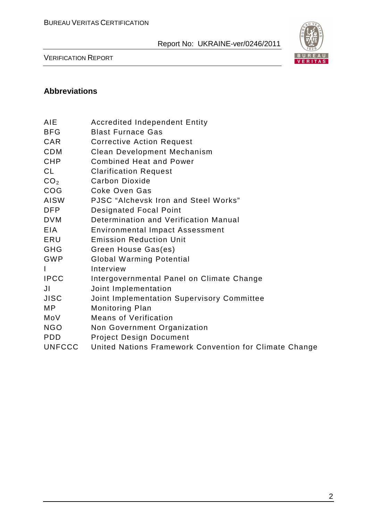

VERIFICATION REPORT

#### **Abbreviations**

- BFG Blast Furnace Gas
- CAR Corrective Action Request
- CDM Clean Development Mechanism
- CHP Combined Heat and Power
- CL Clarification Request
- CO<sub>2</sub> Carbon Dioxide
- COG Coke Oven Gas
- AISW PJSC "Alchevsk Iron and Steel Works"
- DFP Designated Focal Point
- DVM Determination and Verification Manual
- EIA Environmental Impact Assessment
- ERU Emission Reduction Unit
- GHG Green House Gas(es)
- GWP Global Warming Potential
- I Interview
- IPCC Intergovernmental Panel on Climate Change
- JI Joint Implementation
- JISC Joint Implementation Supervisory Committee
- MP Monitoring Plan
- MoV Means of Verification
- NGO Non Government Organization
- PDD Project Design Document
- UNFCCC United Nations Framework Convention for Climate Change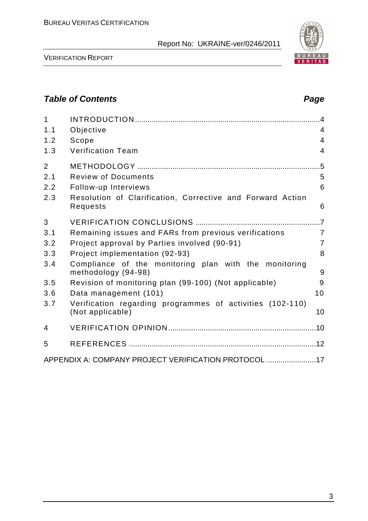

VERIFICATION REPORT

# **Table of Contents Page 2018**

| $\mathbf{1}$   |                                                                               | $\overline{4}$ |
|----------------|-------------------------------------------------------------------------------|----------------|
| 1.1            | Objective                                                                     | $\overline{4}$ |
| 1.2            | Scope                                                                         | $\overline{4}$ |
| 1.3            | <b>Verification Team</b>                                                      | 4              |
| $\overline{2}$ |                                                                               | .5             |
| 2.1            | <b>Review of Documents</b>                                                    | 5              |
| 2.2            | Follow-up Interviews                                                          | 6              |
| 2.3            | Resolution of Clarification, Corrective and Forward Action<br>Requests        | 6              |
| 3              |                                                                               |                |
| 3.1            | Remaining issues and FARs from previous verifications                         | $\overline{7}$ |
| 3.2            | Project approval by Parties involved (90-91)                                  | $\overline{7}$ |
| 3.3            | Project implementation (92-93)                                                | 8              |
| 3.4            | Compliance of the monitoring plan with the monitoring<br>methodology (94-98)  | 9              |
| 3.5            | Revision of monitoring plan (99-100) (Not applicable)                         | 9              |
| 3.6            | Data management (101)                                                         | 10             |
| 3.7            | Verification regarding programmes of activities (102-110)<br>(Not applicable) | 10             |
| 4              |                                                                               |                |
| 5              |                                                                               |                |
|                | APPENDIX A: COMPANY PROJECT VERIFICATION PROTOCOL 17                          |                |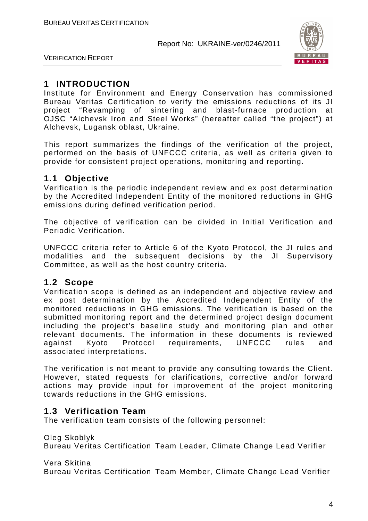

VERIFICATION REPORT

# **1 INTRODUCTION**

Institute for Environment and Energy Conservation has commissioned Bureau Veritas Certification to verify the emissions reductions of its JI project "Revamping of sintering and blast-furnace production at OJSC "Alchevsk Iron and Steel Works" (hereafter called "the project") at Alchevsk, Lugansk oblast, Ukraine.

This report summarizes the findings of the verification of the project, performed on the basis of UNFCCC criteria, as well as criteria given to provide for consistent project operations, monitoring and reporting.

#### **1.1 Objective**

Verification is the periodic independent review and ex post determination by the Accredited Independent Entity of the monitored reductions in GHG emissions during defined verification period.

The objective of verification can be divided in Initial Verification and Periodic Verification.

UNFCCC criteria refer to Article 6 of the Kyoto Protocol, the JI rules and modalities and the subsequent decisions by the JI Supervisory Committee, as well as the host country criteria.

#### **1.2 Scope**

Verification scope is defined as an independent and objective review and ex post determination by the Accredited Independent Entity of the monitored reductions in GHG emissions. The verification is based on the submitted monitoring report and the determined project design document including the project's baseline study and monitoring plan and other relevant documents. The information in these documents is reviewed against Kyoto Protocol requirements, UNFCCC rules and associated interpretations.

The verification is not meant to provide any consulting towards the Client. However, stated requests for clarifications, corrective and/or forward actions may provide input for improvement of the project monitoring towards reductions in the GHG emissions.

# **1.3 Verification Team**

The verification team consists of the following personnel:

Oleg Skoblyk

Bureau Veritas Certification Team Leader, Climate Change Lead Verifier

Vera Skitina

Bureau Veritas Certification Team Member, Climate Change Lead Verifier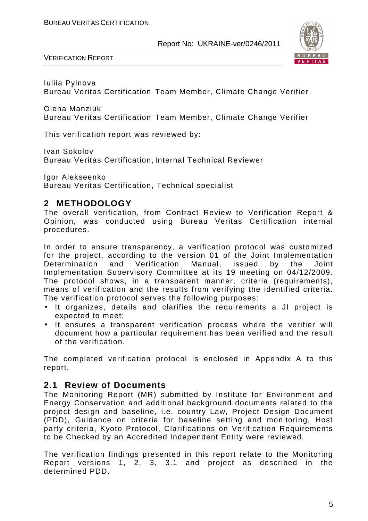

VERIFICATION REPORT

Iuliia Pylnova Bureau Veritas Certification Team Member, Climate Change Verifier

Olena Manziuk Bureau Veritas Certification Team Member, Climate Change Verifier

This verification report was reviewed by:

Ivan Sokolov

Bureau Veritas Certification, Internal Technical Reviewer

Igor Alekseenko Bureau Veritas Certification, Technical specialist

# **2 METHODOLOGY**

The overall verification, from Contract Review to Verification Report & Opinion, was conducted using Bureau Veritas Certification internal procedures.

In order to ensure transparency, a verification protocol was customized for the project, according to the version 01 of the Joint Implementation Determination and Verification Manual, issued by the Joint Implementation Supervisory Committee at its 19 meeting on 04/12/2009. The protocol shows, in a transparent manner, criteria (requirements), means of verification and the results from verifying the identified criteria. The verification protocol serves the following purposes:

- It organizes, details and clarifies the requirements a JI project is expected to meet;
- It ensures a transparent verification process where the verifier will document how a particular requirement has been verified and the result of the verification.

The completed verification protocol is enclosed in Appendix A to this report.

#### **2.1 Review of Documents**

The Monitoring Report (MR) submitted by Institute for Environment and Energy Conservation and additional background documents related to the project design and baseline, i.e. country Law, Project Design Document (PDD), Guidance on criteria for baseline setting and monitoring, Host party criteria, Kyoto Protocol, Clarifications on Verification Requirements to be Checked by an Accredited Independent Entity were reviewed.

The verification findings presented in this report relate to the Monitoring Report versions 1, 2, 3, 3.1 and project as described in the determined PDD.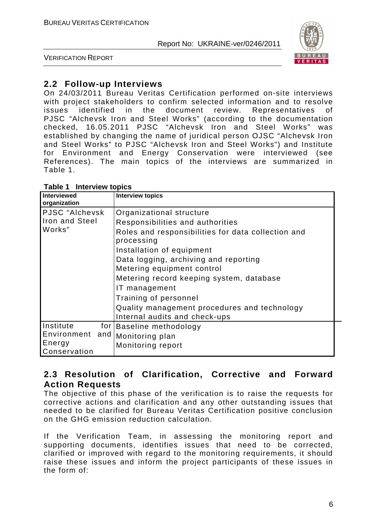

VERIFICATION REPORT

# **2.2 Follow-up Interviews**

On 24/03/2011 Bureau Veritas Certification performed on-site interviews with project stakeholders to confirm selected information and to resolve issues identified in the document review. Representatives of PJSC "Alchevsk Iron and Steel Works" (according to the documentation checked, 16.05.2011 PJSC "Alchevsk Iron and Steel Works" was established by changing the name of juridical person OJSC "Alchevsk Iron and Steel Works" to PJSC "Alchevsk Iron and Steel Works") and Institute for Environment and Energy Conservation were interviewed (see References). The main topics of the interviews are summarized in Table 1.

| <b>Interviewed</b><br>organization                     | <b>Interview topics</b>                                                                                                                                                                                                                                                                                                                                                                                     |
|--------------------------------------------------------|-------------------------------------------------------------------------------------------------------------------------------------------------------------------------------------------------------------------------------------------------------------------------------------------------------------------------------------------------------------------------------------------------------------|
| PJSC "Alchevsk<br><b>Iron and Steel</b><br>Works"      | Organizational structure<br>Responsibilities and authorities<br>Roles and responsibilities for data collection and<br>processing<br>Installation of equipment<br>Data logging, archiving and reporting<br>Metering equipment control<br>Metering record keeping system, database<br>IT management<br>Training of personnel<br>Quality management procedures and technology<br>Internal audits and check-ups |
| Institute<br>Environment and<br>Energy<br>Conservation | for Baseline methodology<br>Monitoring plan<br>Monitoring report                                                                                                                                                                                                                                                                                                                                            |

#### **Table 1 Interview topics**

# **2.3 Resolution of Clarification, Corrective and Forward Action Requests**

The objective of this phase of the verification is to raise the requests for corrective actions and clarification and any other outstanding issues that needed to be clarified for Bureau Veritas Certification positive conclusion on the GHG emission reduction calculation.

If the Verification Team, in assessing the monitoring report and supporting documents, identifies issues that need to be corrected, clarified or improved with regard to the monitoring requirements, it should raise these issues and inform the project participants of these issues in the form of: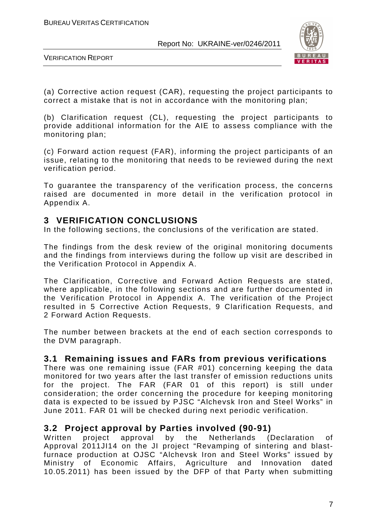

VERIFICATION REPORT

(a) Corrective action request (CAR), requesting the project participants to correct a mistake that is not in accordance with the monitoring plan;

(b) Clarification request (CL), requesting the project participants to provide additional information for the AIE to assess compliance with the monitoring plan;

(c) Forward action request (FAR), informing the project participants of an issue, relating to the monitoring that needs to be reviewed during the next verification period.

To guarantee the transparency of the verification process, the concerns raised are documented in more detail in the verification protocol in Appendix A.

# **3 VERIFICATION CONCLUSIONS**

In the following sections, the conclusions of the verification are stated.

The findings from the desk review of the original monitoring documents and the findings from interviews during the follow up visit are described in the Verification Protocol in Appendix A.

The Clarification, Corrective and Forward Action Requests are stated, where applicable, in the following sections and are further documented in the Verification Protocol in Appendix A. The verification of the Project resulted in 5 Corrective Action Requests, 9 Clarification Requests, and 2 Forward Action Requests.

The number between brackets at the end of each section corresponds to the DVM paragraph.

# **3.1 Remaining issues and FARs from previous verifications**

There was one remaining issue (FAR #01) concerning keeping the data monitored for two years after the last transfer of emission reductions units for the project. The FAR (FAR 01 of this report) is still under consideration; the order concerning the procedure for keeping monitoring data is expected to be issued by PJSC "Alchevsk Iron and Steel Works" in June 2011. FAR 01 will be checked during next periodic verification.

# **3.2 Project approval by Parties involved (90-91)**

Written project approval by the Netherlands (Declaration of Approval 2011JI14 on the JI project "Revamping of sintering and blastfurnace production at OJSC "Alchevsk Iron and Steel Works" issued by Ministry of Economic Affairs, Agriculture and Innovation dated 10.05.2011) has been issued by the DFP of that Party when submitting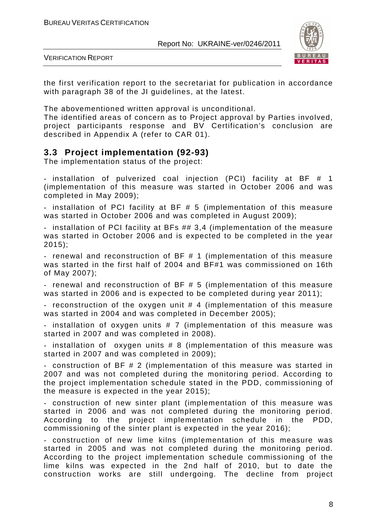

VERIFICATION REPORT

the first verification report to the secretariat for publication in accordance with paragraph 38 of the JI guidelines, at the latest.

The abovementioned written approval is unconditional.

The identified areas of concern as to Project approval by Parties involved, project participants response and BV Certification's conclusion are described in Appendix A (refer to CAR 01).

# **3.3 Project implementation (92-93)**

The implementation status of the project:

- installation of pulverized coal injection (PCI) facility at BF # 1 (implementation of this measure was started in October 2006 and was completed in May 2009);

- installation of PCI facility at BF # 5 (implementation of this measure was started in October 2006 and was completed in August 2009);

- installation of PCI facility at BFs ## 3,4 (implementation of the measure was started in October 2006 and is expected to be completed in the year 2015);

- renewal and reconstruction of BF # 1 (implementation of this measure was started in the first half of 2004 and BF#1 was commissioned on 16th of May 2007);

- renewal and reconstruction of BF # 5 (implementation of this measure was started in 2006 and is expected to be completed during year 2011);

- reconstruction of the oxygen unit # 4 (implementation of this measure was started in 2004 and was completed in December 2005);

- installation of oxygen units # 7 (implementation of this measure was started in 2007 and was completed in 2008).

- installation of oxygen units # 8 (implementation of this measure was started in 2007 and was completed in 2009);

- construction of BF # 2 (implementation of this measure was started in 2007 and was not completed during the monitoring period. According to the project implementation schedule stated in the PDD, commissioning of the measure is expected in the year 2015);

- construction of new sinter plant (implementation of this measure was started in 2006 and was not completed during the monitoring period. According to the project implementation schedule in the PDD, commissioning of the sinter plant is expected in the year 2016);

- construction of new lime kilns (implementation of this measure was started in 2005 and was not completed during the monitoring period. According to the project implementation schedule commissioning of the lime kilns was expected in the 2nd half of 2010, but to date the construction works are still undergoing. The decline from project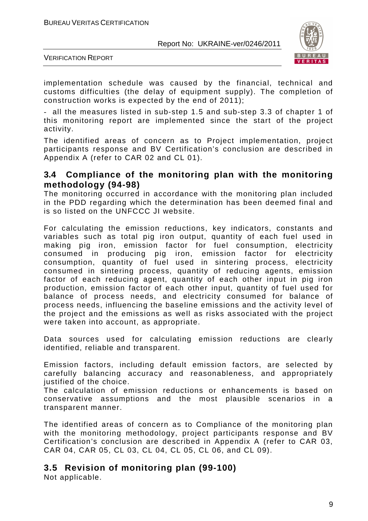

VERIFICATION REPORT

implementation schedule was caused by the financial, technical and customs difficulties (the delay of equipment supply). The completion of construction works is expected by the end of 2011);

- all the measures listed in sub-step 1.5 and sub-step 3.3 of chapter 1 of this monitoring report are implemented since the start of the project activity.

The identified areas of concern as to Project implementation, project participants response and BV Certification's conclusion are described in Appendix A (refer to CAR 02 and CL 01).

#### **3.4 Compliance of the monitoring plan with the monitoring methodology (94-98)**

The monitoring occurred in accordance with the monitoring plan included in the PDD regarding which the determination has been deemed final and is so listed on the UNFCCC JI website.

For calculating the emission reductions, key indicators, constants and variables such as total pig iron output, quantity of each fuel used in making pig iron, emission factor for fuel consumption, electricity consumed in producing pig iron, emission factor for electricity consumption, quantity of fuel used in sintering process, electricity consumed in sintering process, quantity of reducing agents, emission factor of each reducing agent, quantity of each other input in pig iron production, emission factor of each other input, quantity of fuel used for balance of process needs, and electricity consumed for balance of process needs, influencing the baseline emissions and the activity level of the project and the emissions as well as risks associated with the project were taken into account, as appropriate.

Data sources used for calculating emission reductions are clearly identified, reliable and transparent.

Emission factors, including default emission factors, are selected by carefully balancing accuracy and reasonableness, and appropriately justified of the choice.

The calculation of emission reductions or enhancements is based on conservative assumptions and the most plausible scenarios in a transparent manner.

The identified areas of concern as to Compliance of the monitoring plan with the monitoring methodology, project participants response and BV Certification's conclusion are described in Appendix A (refer to CAR 03, CAR 04, CAR 05, CL 03, CL 04, CL 05, CL 06, and CL 09).

# **3.5 Revision of monitoring plan (99-100)**

Not applicable.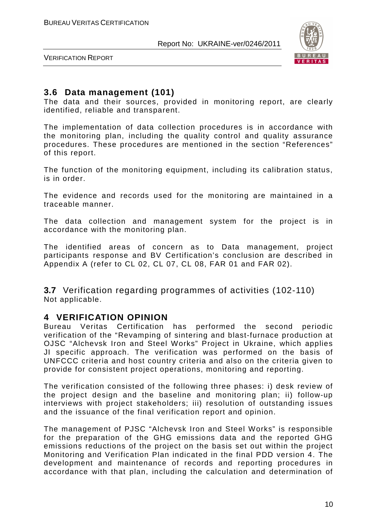

VERIFICATION REPORT

#### **3.6 Data management (101)**

The data and their sources, provided in monitoring report, are clearly identified, reliable and transparent.

The implementation of data collection procedures is in accordance with the monitoring plan, including the quality control and quality assurance procedures. These procedures are mentioned in the section "References" of this report.

The function of the monitoring equipment, including its calibration status, is in order.

The evidence and records used for the monitoring are maintained in a traceable manner.

The data collection and management system for the project is in accordance with the monitoring plan.

The identified areas of concern as to Data management, project participants response and BV Certification's conclusion are described in Appendix A (refer to CL 02, CL 07, CL 08, FAR 01 and FAR 02).

**3.7** Verification regarding programmes of activities (102-110) Not applicable.

#### **4 VERIFICATION OPINION**

Bureau Veritas Certification has performed the second periodic verification of the "Revamping of sintering and blast-furnace production at OJSC "Alchevsk Iron and Steel Works" Project in Ukraine, which applies JI specific approach. The verification was performed on the basis of UNFCCC criteria and host country criteria and also on the criteria given to provide for consistent project operations, monitoring and reporting.

The verification consisted of the following three phases: i) desk review of the project design and the baseline and monitoring plan; ii) follow-up interviews with project stakeholders; iii) resolution of outstanding issues and the issuance of the final verification report and opinion.

The management of PJSC "Alchevsk Iron and Steel Works" is responsible for the preparation of the GHG emissions data and the reported GHG emissions reductions of the project on the basis set out within the project Monitoring and Verification Plan indicated in the final PDD version 4. The development and maintenance of records and reporting procedures in accordance with that plan, including the calculation and determination of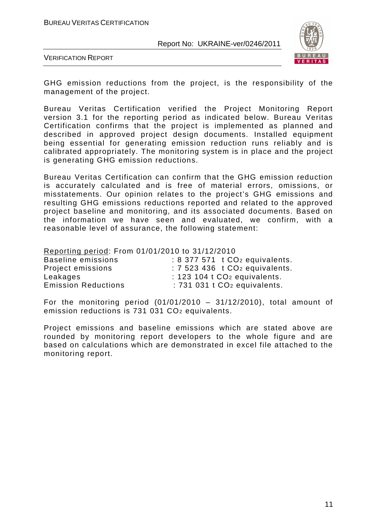

VERIFICATION REPORT

GHG emission reductions from the project, is the responsibility of the management of the project.

Bureau Veritas Certification verified the Project Monitoring Report version 3.1 for the reporting period as indicated below. Bureau Veritas Certification confirms that the project is implemented as planned and described in approved project design documents. Installed equipment being essential for generating emission reduction runs reliably and is calibrated appropriately. The monitoring system is in place and the project is generating GHG emission reductions.

Bureau Veritas Certification can confirm that the GHG emission reduction is accurately calculated and is free of material errors, omissions, or misstatements. Our opinion relates to the project's GHG emissions and resulting GHG emissions reductions reported and related to the approved project baseline and monitoring, and its associated documents. Based on the information we have seen and evaluated, we confirm, with a reasonable level of assurance, the following statement:

Reporting period: From 01/01/2010 to 31/12/2010

| Baseline emissions         | $: 8\,377\,571$ t $CO2$ equivalents. |
|----------------------------|--------------------------------------|
| Project emissions          | $: 7523436$ t $CO2$ equivalents.     |
| Leakages                   | $: 123$ 104 t $CO2$ equivalents.     |
| <b>Emission Reductions</b> | $: 731031$ t $CO2$ equivalents.      |

For the monitoring period  $(01/01/2010 - 31/12/2010)$ , total amount of emission reductions is 731 031 CO2 equivalents.

Project emissions and baseline emissions which are stated above are rounded by monitoring report developers to the whole figure and are based on calculations which are demonstrated in excel file attached to the monitoring report.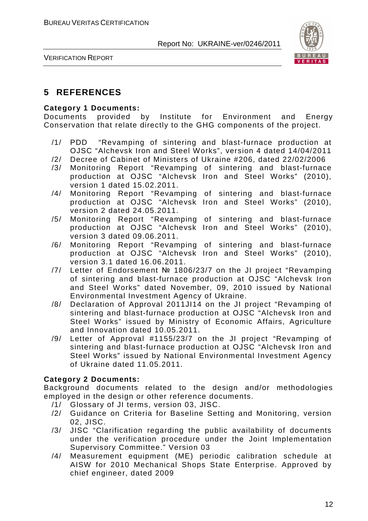

VERIFICATION REPORT

# **5 REFERENCES**

#### **Category 1 Documents:**

Documents provided by Institute for Environment and Energy Conservation that relate directly to the GHG components of the project.

- /1/ PDD "Revamping of sintering and blast-furnace production at OJSC "Alchevsk Iron and Steel Works", version 4 dated 14/04/2011
- /2/ Decree of Cabinet of Ministers of Ukraine #206, dated 22/02/2006
- /3/ Monitoring Report "Revamping of sintering and blast-furnace production at OJSC "Alchevsk Iron and Steel Works" (2010), version 1 dated 15.02.2011.
- /4/ Monitoring Report "Revamping of sintering and blast-furnace production at OJSC "Alchevsk Iron and Steel Works" (2010), version 2 dated 24.05.2011.
- /5/ Monitoring Report "Revamping of sintering and blast-furnace production at OJSC "Alchevsk Iron and Steel Works" (2010), version 3 dated 09.06.2011.
- /6/ Monitoring Report "Revamping of sintering and blast-furnace production at OJSC "Alchevsk Iron and Steel Works" (2010), version 3.1 dated 16.06.2011.
- /7/ Letter of Endorsement № 1806/23/7 on the JI project "Revamping of sintering and blast-furnace production at OJSC "Alchevsk Iron and Steel Works" dated November, 09, 2010 issued by National Environmental Investment Agency of Ukraine.
- /8/ Declaration of Approval 2011JI14 on the JI project "Revamping of sintering and blast-furnace production at OJSC "Alchevsk Iron and Steel Works" issued by Ministry of Economic Affairs, Agriculture and Innovation dated 10.05.2011.
- /9/ Letter of Approval #1155/23/7 on the JI project "Revamping of sintering and blast-furnace production at OJSC "Alchevsk Iron and Steel Works" issued by National Environmental Investment Agency of Ukraine dated 11.05.2011.

#### **Category 2 Documents:**

Background documents related to the design and/or methodologies employed in the design or other reference documents.

- /1/ Glossary of JI terms, version 03, JISC.
- /2/ Guidance on Criteria for Baseline Setting and Monitoring, version 02, JISC.
- /3/ JISC "Clarification regarding the public availability of documents under the verification procedure under the Joint Implementation Supervisory Committee." Version 03
- /4/ Measurement equipment (ME) periodic calibration schedule at AISW for 2010 Mechanical Shops State Enterprise. Approved by chief engineer, dated 2009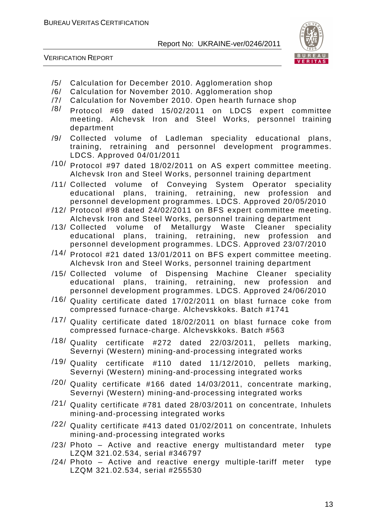

VERIFICATION REPORT

- /5/ Calculation for December 2010. Agglomeration shop
- /6/ Calculation for November 2010. Agglomeration shop
- /7/ Calculation for November 2010. Open hearth furnace shop
- $\frac{18}{100}$  Protocol #69 dated 15/02/2011 on LDCS expert committee meeting. Alchevsk Iron and Steel Works, personnel training department
- /9/ Collected volume of Ladleman speciality educational plans, training, retraining and personnel development programmes. LDCS. Approved 04/01/2011
- /10/ Protocol #97 dated 18/02/2011 on AS expert committee meeting. Alchevsk Iron and Steel Works, personnel training department
- /11/ Collected volume of Conveying System Operator speciality educational plans, training, retraining, new profession and personnel development programmes. LDCS. Approved 20/05/2010
- /12/ Protocol #98 dated 24/02/2011 on BFS expert committee meeting. Alchevsk Iron and Steel Works, personnel training department
- /13/ Collected volume of Metallurgy Waste Cleaner speciality educational plans, training, retraining, new profession and personnel development programmes. LDCS. Approved 23/07/2010
- /14/ Protocol #21 dated 13/01/2011 on BFS expert committee meeting. Alchevsk Iron and Steel Works, personnel training department
- /15/ Collected volume of Dispensing Machine Cleaner speciality educational plans, training, retraining, new profession and personnel development programmes. LDCS. Approved 24/06/2010
- /16/ Quality certificate dated 17/02/2011 on blast furnace coke from compressed furnace-charge. Alchevskkoks. Batch #1741
- /17/ Quality certificate dated 18/02/2011 on blast furnace coke from compressed furnace-charge. Alchevskkoks. Batch #563
- /18/ Quality certificate #272 dated 22/03/2011, pellets marking, Severnyi (Western) mining-and-processing integrated works
- $/19/$  Quality certificate #110 dated 11/12/2010, pellets marking, Severnyi (Western) mining-and-processing integrated works
- /20/ Quality certificate #166 dated 14/03/2011, concentrate marking, Severnyi (Western) mining-and-processing integrated works
- /21/ Quality certificate #781 dated 28/03/2011 on concentrate, Inhulets mining-and-processing integrated works
- /22/ Quality certificate #413 dated 01/02/2011 on concentrate, Inhulets mining-and-processing integrated works
- /23/ Photo Active and reactive energy multistandard meter type LZQM 321.02.534, serial #346797
- /24/ Photo Active and reactive energy multiple-tariff meter type LZQM 321.02.534, serial #255530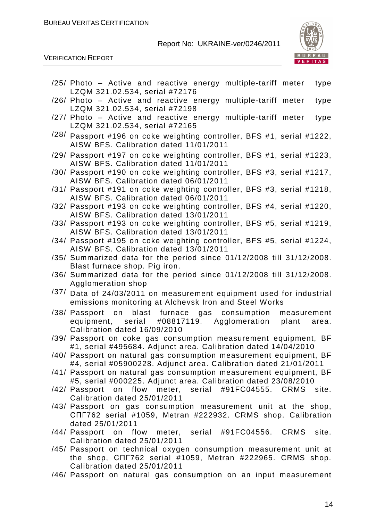

VERIFICATION REPORT

| /25/ Photo – Active and reactive energy multiple-tariff meter<br>type<br>LZQM 321.02.534, serial #72176                                                        |
|----------------------------------------------------------------------------------------------------------------------------------------------------------------|
| /26/ Photo – Active and reactive energy multiple-tariff meter<br>type<br>LZQM 321.02.534, serial #72198                                                        |
| /27/ Photo - Active and reactive energy multiple-tariff meter<br>type<br>LZQM 321.02.534, serial #72165                                                        |
| /28/ Passport #196 on coke weighting controller, BFS #1, serial #1222,<br>AISW BFS. Calibration dated 11/01/2011                                               |
| /29/ Passport #197 on coke weighting controller, BFS #1, serial #1223,<br>AISW BFS. Calibration dated 11/01/2011                                               |
| /30/ Passport #190 on coke weighting controller, BFS #3, serial #1217,<br>AISW BFS. Calibration dated 06/01/2011                                               |
| /31/ Passport #191 on coke weighting controller, BFS #3, serial #1218,<br>AISW BFS. Calibration dated 06/01/2011                                               |
| /32/ Passport #193 on coke weighting controller, BFS #4, serial #1220,<br>AISW BFS. Calibration dated 13/01/2011                                               |
| /33/ Passport #193 on coke weighting controller, BFS #5, serial #1219,<br>AISW BFS. Calibration dated 13/01/2011                                               |
| /34/ Passport #195 on coke weighting controller, BFS #5, serial #1224,<br>AISW BFS. Calibration dated 13/01/2011                                               |
| /35/ Summarized data for the period since 01/12/2008 till 31/12/2008.<br>Blast furnace shop. Pig iron.                                                         |
| /36/ Summarized data for the period since 01/12/2008 till 31/12/2008.<br>Agglomeration shop                                                                    |
| /37/ Data of 24/03/2011 on measurement equipment used for industrial<br>emissions monitoring at Alchevsk Iron and Steel Works                                  |
| /38/ Passport on<br>blast furnace gas consumption<br>measurement<br>equipment, serial #08817119. Agglomeration<br>plant area.<br>Calibration dated 16/09/2010  |
| /39/ Passport on coke gas consumption measurement equipment, BF<br>#1, serial #495684. Adjunct area. Calibration dated 14/04/2010                              |
| /40/ Passport on natural gas consumption measurement equipment, BF<br>#4, serial #05900228. Adjunct area. Calibration dated 21/01/2011                         |
| /41/ Passport on natural gas consumption measurement equipment, BF<br>#5, serial #000225. Adjunct area. Calibration dated 23/08/2010                           |
| /42/ Passport on flow meter, serial #91FC04555. CRMS site.<br>Calibration dated 25/01/2011                                                                     |
| /43/ Passport on gas consumption measurement unit at the shop,<br>CNF762 serial #1059, Metran #222932. CRMS shop. Calibration<br>dated 25/01/2011              |
| /44/ Passport on flow meter, serial #91FC04556. CRMS<br>site.<br>Calibration dated 25/01/2011                                                                  |
| /45/ Passport on technical oxygen consumption measurement unit at<br>the shop, CNF762 serial #1059, Metran #222965. CRMS shop.<br>Calibration dated 25/01/2011 |
| /46/ Passport on natural gas consumption on an input measurement                                                                                               |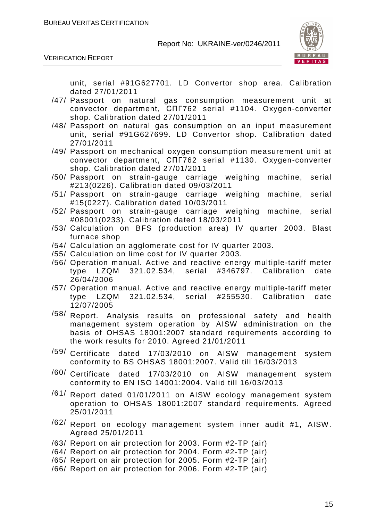

VERIFICATION REPORT

unit, serial #91G627701. LD Convertor shop area. Calibration dated 27/01/2011

- /47/ Passport on natural gas consumption measurement unit at convector department, СПГ762 serial #1104. Oxygen-converter shop. Calibration dated 27/01/2011
- /48/ Passport on natural gas consumption on an input measurement unit, serial #91G627699. LD Convertor shop. Calibration dated 27/01/2011
- /49/ Passport on mechanical oxygen consumption measurement unit at convector department, СПГ762 serial #1130. Oxygen-converter shop. Calibration dated 27/01/2011
- /50/ Passport on strain-gauge carriage weighing machine, serial #213(0226). Calibration dated 09/03/2011
- /51/ Passport on strain-gauge carriage weighing machine, serial #15(0227). Calibration dated 10/03/2011
- /52/ Passport on strain-gauge carriage weighing machine, serial #08001(0233). Calibration dated 18/03/2011
- /53/ Calculation on BFS (production area) IV quarter 2003. Blast furnace shop
- /54/ Calculation on agglomerate cost for IV quarter 2003.
- /55/ Calculation on lime cost for IV quarter 2003.
- /56/ Operation manual. Active and reactive energy multiple-tariff meter type LZQM 321.02.534, serial #346797. Calibration date 26/04/2006
- /57/ Operation manual. Active and reactive energy multiple-tariff meter type LZQM 321.02.534, serial #255530. Calibration date 12/07/2005
- /58/ Report. Analysis results on professional safety and health management system operation by AISW administration on the basis of OHSAS 18001:2007 standard requirements according to the work results for 2010. Agreed 21/01/2011
- /59/ Certificate dated 17/03/2010 on AISW management system conformity to BS OHSAS 18001:2007. Valid till 16/03/2013
- /60/ Certificate dated 17/03/2010 on AISW management system conformity to EN ISO 14001:2004. Valid till 16/03/2013
- /61/ Report dated 01/01/2011 on AISW ecology management system operation to OHSAS 18001:2007 standard requirements. Agreed 25/01/2011
- /62/ Report on ecology management system inner audit #1, AISW. Agreed 25/01/2011
- /63/ Report on air protection for 2003. Form #2-TP (air)
- /64/ Report on air protection for 2004. Form #2-TP (air)
- /65/ Report on air protection for 2005. Form #2-TP (air)
- /66/ Report on air protection for 2006. Form #2-TP (air)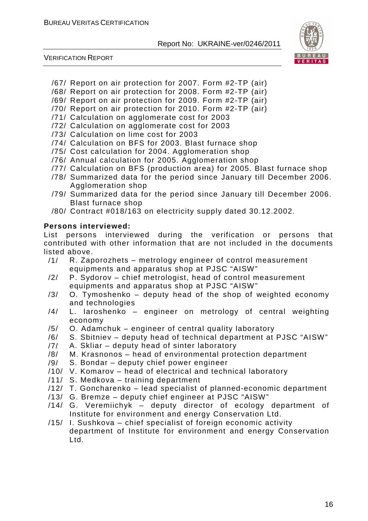

VERIFICATION REPORT

- /67/ Report on air protection for 2007. Form #2-TP (air)
- /68/ Report on air protection for 2008. Form #2-TP (air)
- /69/ Report on air protection for 2009. Form #2-TP (air)
- /70/ Report on air protection for 2010. Form #2-TP (air)
- /71/ Calculation on agglomerate cost for 2003
- /72/ Calculation on agglomerate cost for 2003
- /73/ Calculation on lime cost for 2003
- /74/ Calculation on BFS for 2003. Blast furnace shop
- /75/ Cost calculation for 2004. Agglomeration shop
- /76/ Annual calculation for 2005. Agglomeration shop
- /77/ Calculation on BFS (production area) for 2005. Blast furnace shop
- /78/ Summarized data for the period since January till December 2006. Agglomeration shop
- /79/ Summarized data for the period since January till December 2006. Blast furnace shop
- /80/ Contract #018/163 on electricity supply dated 30.12.2002.

#### **Persons interviewed:**

List persons interviewed during the verification or persons that contributed with other information that are not included in the documents listed above.

- /1/ R. Zaporozhets metrology engineer of control measurement equipments and apparatus shop at PJSC "AISW"
- /2/ P. Sydorov chief metrologist, head of control measurement equipments and apparatus shop at PJSC "AISW"
- /3/ O. Tymoshenko deputy head of the shop of weighted economy and technologies
- /4/ L. Iaroshenko engineer on metrology of central weighting economy
- /5/ O. Adamchuk engineer of central quality laboratory
- /6/ S. Sbitniev deputy head of technical department at PJSC "AISW"
- /7/ A. Skliar deputy head of sinter laboratory
- /8/ M. Krasnonos head of environmental protection department
- /9/ S. Bondar deputy chief power engineer
- /10/ V. Komarov head of electrical and technical laboratory
- /11/ S. Medkova training department
- /12/ T. Goncharenko lead specialist of planned-economic department
- /13/ G. Bremze deputy chief engineer at PJSC "AISW"
- /14/ G. Veremiichyk deputy director of ecology department of Institute for environment and energy Conservation Ltd.
- /15/ I. Sushkova chief specialist of foreign economic activity department of Institute for environment and energy Conservation Ltd.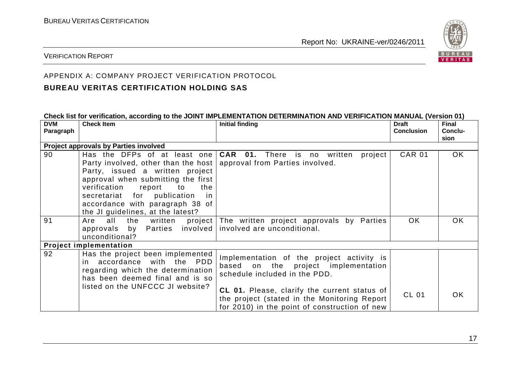

#### VERIFICATION REPORT

#### APPENDIX A: COMPANY PROJECT VERIFICATION PROTOCOL

#### **BUREAU VERITAS CERTIFICATION HOLDING SAS**

| Check list for verification, according to the JOINT IMPLEMENTATION DETERMINATION AND VERIFICATION MANUAL (Version 01) |                                           |                                               |                   |              |  |
|-----------------------------------------------------------------------------------------------------------------------|-------------------------------------------|-----------------------------------------------|-------------------|--------------|--|
| <b>DVM</b>                                                                                                            | <b>Check Item</b>                         | Initial finding                               | <b>Draft</b>      | <b>Final</b> |  |
| Paragraph                                                                                                             |                                           |                                               | <b>Conclusion</b> | Conclu-      |  |
|                                                                                                                       |                                           |                                               |                   | sion         |  |
|                                                                                                                       | Project approvals by Parties involved     |                                               |                   |              |  |
| 90                                                                                                                    | Has the DFPs of at least one              | <b>CAR 01.</b> There is no written<br>project | <b>CAR 01</b>     | OK.          |  |
|                                                                                                                       | Party involved, other than the host       | approval from Parties involved.               |                   |              |  |
|                                                                                                                       | Party, issued a written project           |                                               |                   |              |  |
|                                                                                                                       | approval when submitting the first        |                                               |                   |              |  |
|                                                                                                                       | verification<br>report<br>to<br>the       |                                               |                   |              |  |
|                                                                                                                       | secretariat for publication<br>in.        |                                               |                   |              |  |
|                                                                                                                       | accordance with paragraph 38 of           |                                               |                   |              |  |
|                                                                                                                       | the JI guidelines, at the latest?         |                                               |                   |              |  |
| 91                                                                                                                    | all<br>the<br>project  <br>Are<br>written | The written project approvals by Parties      | OK.               | OK.          |  |
|                                                                                                                       | Parties involved<br>approvals by          | involved are unconditional.                   |                   |              |  |
|                                                                                                                       | unconditional?                            |                                               |                   |              |  |
|                                                                                                                       | <b>Project implementation</b>             |                                               |                   |              |  |
| 92                                                                                                                    | Has the project been implemented          |                                               |                   |              |  |
|                                                                                                                       | in accordance with the PDD                | Implementation of the project activity is     |                   |              |  |
|                                                                                                                       | regarding which the determination         | based on the project implementation           |                   |              |  |
|                                                                                                                       | has been deemed final and is so           | schedule included in the PDD.                 |                   |              |  |
|                                                                                                                       | listed on the UNFCCC JI website?          |                                               |                   |              |  |
|                                                                                                                       |                                           | CL 01. Please, clarify the current status of  | <b>CL 01</b>      | OK.          |  |
|                                                                                                                       |                                           | the project (stated in the Monitoring Report  |                   |              |  |
|                                                                                                                       |                                           | for 2010) in the point of construction of new |                   |              |  |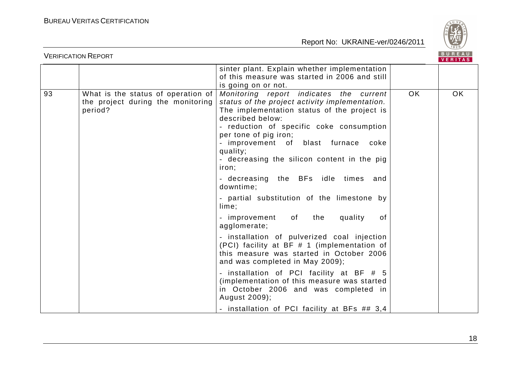

|    | <b>VERIFICATION REPORT</b>                                                         |                                                                                                                                                                                                                                                                                                                                                                                                     |     | <b>BUREAU</b><br>VERITAS |
|----|------------------------------------------------------------------------------------|-----------------------------------------------------------------------------------------------------------------------------------------------------------------------------------------------------------------------------------------------------------------------------------------------------------------------------------------------------------------------------------------------------|-----|--------------------------|
|    |                                                                                    | sinter plant. Explain whether implementation<br>of this measure was started in 2006 and still<br>is going on or not.                                                                                                                                                                                                                                                                                |     |                          |
| 93 | What is the status of operation of<br>the project during the monitoring<br>period? | Monitoring report indicates the current<br>status of the project activity implementation.<br>The implementation status of the project is<br>described below:<br>- reduction of specific coke consumption<br>per tone of pig iron;<br>- improvement of blast furnace<br>coke<br>quality;<br>- decreasing the silicon content in the pig<br>iron;<br>- decreasing the BFs idle times and<br>downtime: | OK. | OK.                      |
|    |                                                                                    | - partial substitution of the limestone by<br>lime:                                                                                                                                                                                                                                                                                                                                                 |     |                          |
|    |                                                                                    | of the<br>quality<br>- improvement<br>of<br>agglomerate;                                                                                                                                                                                                                                                                                                                                            |     |                          |
|    |                                                                                    | - installation of pulverized coal injection<br>(PCI) facility at BF # 1 (implementation of<br>this measure was started in October 2006<br>and was completed in May 2009);                                                                                                                                                                                                                           |     |                          |
|    |                                                                                    | - installation of PCI facility at BF # 5<br>(implementation of this measure was started<br>in October 2006 and was completed in<br>August 2009);                                                                                                                                                                                                                                                    |     |                          |
|    |                                                                                    | - installation of PCI facility at BFs ## 3,4                                                                                                                                                                                                                                                                                                                                                        |     |                          |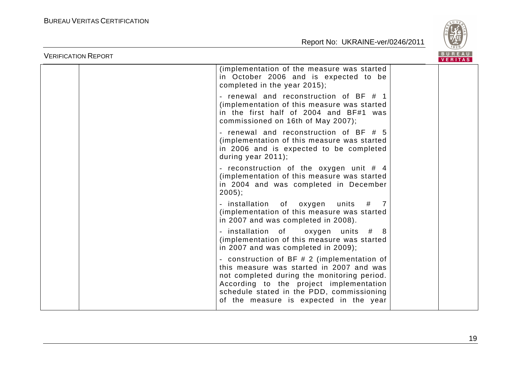

| <b>VERIFICATION REPORT</b> |                                                                                                                                                                                                                                                                          | <b>BUREAU</b><br>VERITAS |
|----------------------------|--------------------------------------------------------------------------------------------------------------------------------------------------------------------------------------------------------------------------------------------------------------------------|--------------------------|
|                            | (implementation of the measure was started)<br>in October 2006 and is expected to be<br>completed in the year 2015);                                                                                                                                                     |                          |
|                            | - renewal and reconstruction of BF # 1<br>(implementation of this measure was started<br>in the first half of 2004 and BF#1 was<br>commissioned on 16th of May 2007);                                                                                                    |                          |
|                            | - renewal and reconstruction of BF # 5<br>(implementation of this measure was started<br>in 2006 and is expected to be completed<br>during year 2011);                                                                                                                   |                          |
|                            | - reconstruction of the oxygen unit $#$ 4<br>(implementation of this measure was started<br>in 2004 and was completed in December<br>$2005$ ;                                                                                                                            |                          |
|                            | - installation of oxygen units<br>#<br>$\overline{7}$<br>(implementation of this measure was started<br>in 2007 and was completed in 2008).                                                                                                                              |                          |
|                            | - installation of<br>oxygen units # 8<br>(implementation of this measure was started<br>in 2007 and was completed in 2009);                                                                                                                                              |                          |
|                            | - construction of BF # 2 (implementation of<br>this measure was started in 2007 and was<br>not completed during the monitoring period.<br>According to the project implementation<br>schedule stated in the PDD, commissioning<br>of the measure is expected in the year |                          |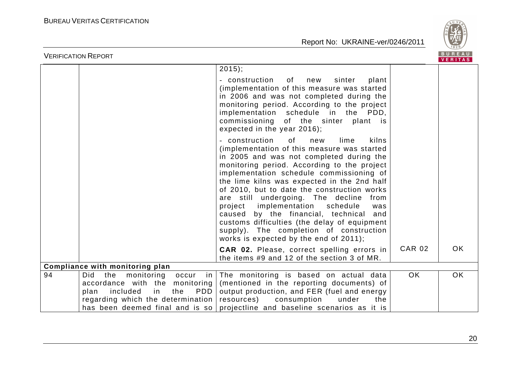

| <b>VERIFICATION REPORT</b> |                                                                                                                                                                              |                                                                                                                                                                                                                                                                                                                                                                                                                                                                                                                                                                                                              |               | BUREAU<br><b>VERITAS</b> |
|----------------------------|------------------------------------------------------------------------------------------------------------------------------------------------------------------------------|--------------------------------------------------------------------------------------------------------------------------------------------------------------------------------------------------------------------------------------------------------------------------------------------------------------------------------------------------------------------------------------------------------------------------------------------------------------------------------------------------------------------------------------------------------------------------------------------------------------|---------------|--------------------------|
|                            |                                                                                                                                                                              | $2015$ ;<br>- construction of new<br>sinter<br>plant<br>(implementation of this measure was started<br>in 2006 and was not completed during the<br>monitoring period. According to the project<br>implementation schedule in the PDD,<br>commissioning of the sinter plant is<br>expected in the year 2016);                                                                                                                                                                                                                                                                                                 |               |                          |
|                            |                                                                                                                                                                              | 0f<br>- construction<br>lime<br>kilns<br>new<br>(implementation of this measure was started<br>in 2005 and was not completed during the<br>monitoring period. According to the project<br>implementation schedule commissioning of<br>the lime kilns was expected in the 2nd half<br>of 2010, but to date the construction works<br>are still undergoing. The decline<br>from<br>project implementation<br>schedule<br>was<br>caused by the financial, technical<br>and<br>customs difficulties (the delay of equipment<br>supply). The completion of construction<br>works is expected by the end of 2011); |               |                          |
|                            |                                                                                                                                                                              | CAR 02. Please, correct spelling errors in<br>the items #9 and 12 of the section 3 of MR.                                                                                                                                                                                                                                                                                                                                                                                                                                                                                                                    | <b>CAR 02</b> | <b>OK</b>                |
|                            | Compliance with monitoring plan                                                                                                                                              |                                                                                                                                                                                                                                                                                                                                                                                                                                                                                                                                                                                                              |               |                          |
| 94                         | <b>Did</b><br>the<br>monitoring<br>in I<br>occur<br>accordance with the monitoring<br>plan<br>included<br>$\mathsf{in}$<br>the<br>PDD  <br>regarding which the determination | The monitoring is based on actual data<br>(mentioned in the reporting documents) of<br>output production, and FER (fuel and energy<br>resources)<br>consumption<br>under<br>the<br>has been deemed final and is so projectline and baseline scenarios as it is                                                                                                                                                                                                                                                                                                                                               | <b>OK</b>     | <b>OK</b>                |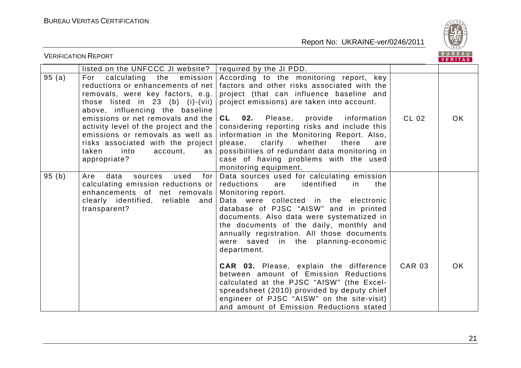

|        | <b>VERIFICATION REPORT</b>                                                                                                                                                                             |                                                                                                                                                                                                                                                                                                                                                                                                                                                                                                                                                                                                                                                                                  |               | BUREAU<br><b>VERITAS</b> |
|--------|--------------------------------------------------------------------------------------------------------------------------------------------------------------------------------------------------------|----------------------------------------------------------------------------------------------------------------------------------------------------------------------------------------------------------------------------------------------------------------------------------------------------------------------------------------------------------------------------------------------------------------------------------------------------------------------------------------------------------------------------------------------------------------------------------------------------------------------------------------------------------------------------------|---------------|--------------------------|
|        | listed on the UNFCCC JI website?                                                                                                                                                                       | required by the JI PDD.                                                                                                                                                                                                                                                                                                                                                                                                                                                                                                                                                                                                                                                          |               |                          |
| 95(a)  | For calculating the emission<br>reductions or enhancements of net<br>removals, were key factors, e.g.<br>those listed in 23 (b) (i)-(vii)<br>above, influencing the baseline                           | According to the monitoring report, key<br>factors and other risks associated with the<br>project (that can influence baseline and<br>project emissions) are taken into account.                                                                                                                                                                                                                                                                                                                                                                                                                                                                                                 |               |                          |
|        | emissions or net removals and the<br>activity level of the project and the<br>emissions or removals as well as<br>risks associated with the project<br>taken<br>into<br>account,<br>as<br>appropriate? | <b>CL</b><br>Please, provide<br>information<br>02.<br>considering reporting risks and include this<br>information in the Monitoring Report. Also,<br>clarify<br>whether there<br>please,<br>are<br>possibilities of redundant data monitoring in<br>case of having problems with the used<br>monitoring equipment.                                                                                                                                                                                                                                                                                                                                                               | CL 02         | <b>OK</b>                |
| 95 (b) | data<br>sources<br>used<br>for<br>Are<br>calculating emission reductions or<br>enhancements of net removals<br>clearly identified, reliable and<br>transparent?                                        | Data sources used for calculating emission<br>reductions<br>identified<br>the<br>are<br>in.<br>Monitoring report.<br>Data were collected in the electronic<br>database of PJSC "AISW" and in printed<br>documents. Also data were systematized in<br>the documents of the daily, monthly and<br>annually registration. All those documents<br>were saved in the planning-economic<br>department.<br><b>CAR 03.</b> Please, explain the difference<br>between amount of Emission Reductions<br>calculated at the PJSC "AISW" (the Excel-<br>spreadsheet (2010) provided by deputy chief<br>engineer of PJSC "AISW" on the site-visit)<br>and amount of Emission Reductions stated | <b>CAR 03</b> | OK.                      |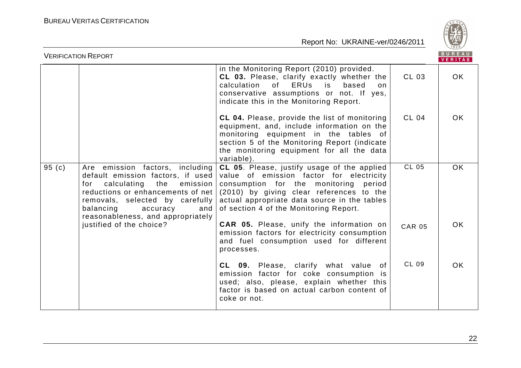

| <b>VERIFICATION REPORT</b> |                                                                                                                                                                                                                                                            |                                                                                                                                                                                                                                                                           |               | BUREAU<br><b>VERITAS</b> |
|----------------------------|------------------------------------------------------------------------------------------------------------------------------------------------------------------------------------------------------------------------------------------------------------|---------------------------------------------------------------------------------------------------------------------------------------------------------------------------------------------------------------------------------------------------------------------------|---------------|--------------------------|
|                            |                                                                                                                                                                                                                                                            | in the Monitoring Report (2010) provided.<br>CL 03. Please, clarify exactly whether the<br><b>ERUs</b><br>calculation<br>0f<br>based<br>is<br>on<br>conservative assumptions or not. If yes,<br>indicate this in the Monitoring Report.                                   | <b>CL 03</b>  | OK.                      |
|                            |                                                                                                                                                                                                                                                            | CL 04. Please, provide the list of monitoring<br>equipment, and, include information on the<br>monitoring equipment in the tables of<br>section 5 of the Monitoring Report (indicate<br>the monitoring equipment for all the data<br>variable).                           | <b>CL 04</b>  | <b>OK</b>                |
| 95(c)                      | Are emission factors, including<br>default emission factors, if used<br>calculating<br>the<br>emission<br>for<br>reductions or enhancements of net<br>removals, selected by carefully<br>balancing<br>accuracy<br>and<br>reasonableness, and appropriately | CL 05. Please, justify usage of the applied<br>value of emission factor for electricity<br>consumption for the monitoring<br>period<br>(2010) by giving clear references to the<br>actual appropriate data source in the tables<br>of section 4 of the Monitoring Report. | <b>CL 05</b>  | <b>OK</b>                |
|                            | justified of the choice?                                                                                                                                                                                                                                   | <b>CAR 05.</b> Please, unify the information on<br>emission factors for electricity consumption<br>and fuel consumption used for different<br>processes.                                                                                                                  | <b>CAR 05</b> | OK.                      |
|                            |                                                                                                                                                                                                                                                            | CL 09. Please, clarify what value of<br>emission factor for coke consumption is<br>used; also, please, explain whether this<br>factor is based on actual carbon content of<br>coke or not.                                                                                | CL 09         | OK.                      |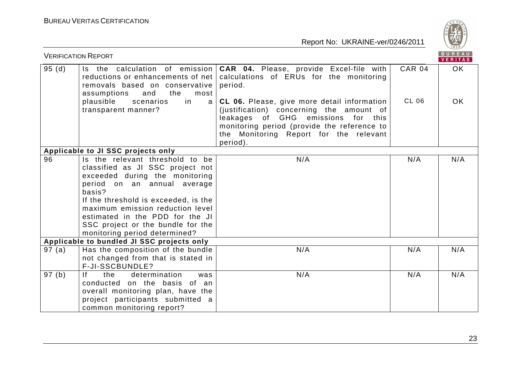

| <b>VERIFICATION REPORT</b> |                                                                                                                                                                                                                                                                                                                                     |                                                                                                                                                                                                                                    |               | BUREAU<br><b>VERITAS</b> |
|----------------------------|-------------------------------------------------------------------------------------------------------------------------------------------------------------------------------------------------------------------------------------------------------------------------------------------------------------------------------------|------------------------------------------------------------------------------------------------------------------------------------------------------------------------------------------------------------------------------------|---------------|--------------------------|
| 95(d)                      | removals based on conservative<br>and<br>the<br>assumptions<br>most                                                                                                                                                                                                                                                                 | Is the calculation of emission   CAR 04. Please, provide Excel-file with<br>reductions or enhancements of net   calculations of ERUs for the monitoring<br>period.                                                                 | <b>CAR 04</b> | OK                       |
|                            | plausible<br>scenarios<br>in<br>a <sub>l</sub><br>transparent manner?                                                                                                                                                                                                                                                               | CL 06. Please, give more detail information<br>(justification) concerning the amount of<br>leakages of GHG emissions for this<br>monitoring period (provide the reference to<br>the Monitoring Report for the relevant<br>period). | <b>CL 06</b>  | OK.                      |
|                            | Applicable to JI SSC projects only                                                                                                                                                                                                                                                                                                  |                                                                                                                                                                                                                                    |               |                          |
| 96                         | Is the relevant threshold to be<br>classified as JI SSC project not<br>exceeded during the monitoring<br>period on an annual average<br>basis?<br>If the threshold is exceeded, is the<br>maximum emission reduction level<br>estimated in the PDD for the JI<br>SSC project or the bundle for the<br>monitoring period determined? | N/A                                                                                                                                                                                                                                | N/A           | N/A                      |
|                            | Applicable to bundled JI SSC projects only                                                                                                                                                                                                                                                                                          |                                                                                                                                                                                                                                    |               |                          |
| 97 (a)                     | Has the composition of the bundle<br>not changed from that is stated in<br>F-JI-SSCBUNDLE?                                                                                                                                                                                                                                          | N/A                                                                                                                                                                                                                                | N/A           | N/A                      |
| 97(b)                      | f <br>the<br>determination<br>was<br>conducted on the basis of an<br>overall monitoring plan, have the<br>project participants submitted a<br>common monitoring report?                                                                                                                                                             | N/A                                                                                                                                                                                                                                | N/A           | N/A                      |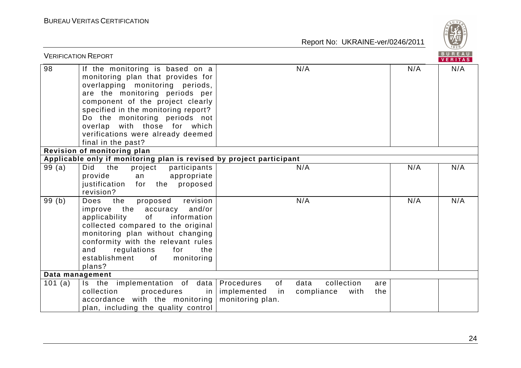

| <b>VERIFICATION REPORT</b> |                                                                                                                                                                                                                                                                                                                                                                                 |                                                                                                       |     | BUREAU<br><b>VERITAS</b> |
|----------------------------|---------------------------------------------------------------------------------------------------------------------------------------------------------------------------------------------------------------------------------------------------------------------------------------------------------------------------------------------------------------------------------|-------------------------------------------------------------------------------------------------------|-----|--------------------------|
| 98                         | If the monitoring is based on a<br>monitoring plan that provides for<br>overlapping monitoring periods,<br>are the monitoring periods per<br>component of the project clearly<br>specified in the monitoring report?<br>Do the monitoring periods not<br>overlap with those for which<br>verifications were already deemed<br>final in the past?<br>Revision of monitoring plan | N/A                                                                                                   | N/A | N/A                      |
| 99(a)                      | Applicable only if monitoring plan is revised by project participant<br>Did<br>the                                                                                                                                                                                                                                                                                              | N/A                                                                                                   | N/A | N/A                      |
|                            | project<br>participants<br>provide<br>appropriate<br>an<br>justification<br>proposed<br>for<br>the<br>revision?                                                                                                                                                                                                                                                                 |                                                                                                       |     |                          |
| 99(b)                      | revision<br>the<br>proposed<br>Does<br>improve the accuracy and/or<br>of<br>information<br>applicability<br>collected compared to the original<br>monitoring plan without changing<br>conformity with the relevant rules<br>and<br>regulations<br>for<br>the<br>establishment<br>of monitoring<br>plans?                                                                        | N/A                                                                                                   | N/A | N/A                      |
| Data management            |                                                                                                                                                                                                                                                                                                                                                                                 |                                                                                                       |     |                          |
| 101 (a)                    | Is the implementation of data   Procedures<br>collection<br>procedures<br>in I<br>accordance with the monitoring<br>plan, including the quality control                                                                                                                                                                                                                         | of<br>data<br>collection<br>are<br>implemented<br>in<br>compliance<br>with<br>the<br>monitoring plan. |     |                          |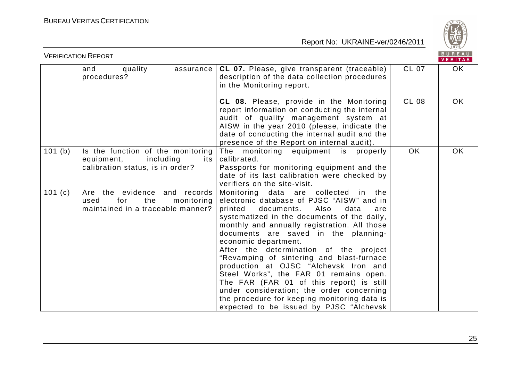

| BUREAU<br><b>VERIFICATION REPORT</b><br><b>VERITAS</b> |                                                                                                         |                                                                                                                                                                                                                                                                                                                                                                                                                                                                                                                                                                                                                                                                       |              |           |
|--------------------------------------------------------|---------------------------------------------------------------------------------------------------------|-----------------------------------------------------------------------------------------------------------------------------------------------------------------------------------------------------------------------------------------------------------------------------------------------------------------------------------------------------------------------------------------------------------------------------------------------------------------------------------------------------------------------------------------------------------------------------------------------------------------------------------------------------------------------|--------------|-----------|
|                                                        | quality<br>assurance<br>and<br>procedures?                                                              | CL 07. Please, give transparent (traceable)<br>description of the data collection procedures<br>in the Monitoring report.                                                                                                                                                                                                                                                                                                                                                                                                                                                                                                                                             | <b>CL 07</b> | OK        |
|                                                        |                                                                                                         | CL 08. Please, provide in the Monitoring<br>report information on conducting the internal<br>audit of quality management system at<br>AISW in the year 2010 (please, indicate the<br>date of conducting the internal audit and the<br>presence of the Report on internal audit).                                                                                                                                                                                                                                                                                                                                                                                      | <b>CL 08</b> | OK.       |
| 101 (b)                                                | Is the function of the monitoring<br>equipment,<br>including<br>its<br>calibration status, is in order? | The monitoring equipment is properly<br>calibrated.<br>Passports for monitoring equipment and the<br>date of its last calibration were checked by<br>verifiers on the site-visit.                                                                                                                                                                                                                                                                                                                                                                                                                                                                                     | <b>OK</b>    | <b>OK</b> |
| 101 $(c)$                                              | Are the evidence and records<br>for<br>the<br>monitoring<br>used<br>maintained in a traceable manner?   | Monitoring data are collected<br>in.<br>the<br>electronic database of PJSC "AISW" and in<br>documents.<br>printed<br>Also<br>data<br>are<br>systematized in the documents of the daily,<br>monthly and annually registration. All those<br>documents are saved in the planning-<br>economic department.<br>After the determination of the project<br>"Revamping of sintering and blast-furnace<br>production at OJSC "Alchevsk Iron and<br>Steel Works", the FAR 01 remains open.<br>The FAR (FAR 01 of this report) is still<br>under consideration; the order concerning<br>the procedure for keeping monitoring data is<br>expected to be issued by PJSC "Alchevsk |              |           |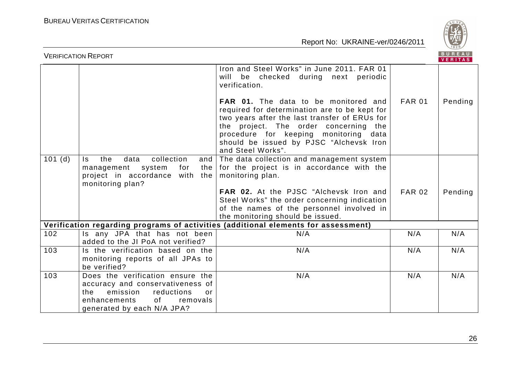

|        | <b>VERIFICATION REPORT</b>                                                                                                                                               |                                                                                                                                                                                                                                                                                                 |               | BUREAU<br><b>VERITAS</b> |
|--------|--------------------------------------------------------------------------------------------------------------------------------------------------------------------------|-------------------------------------------------------------------------------------------------------------------------------------------------------------------------------------------------------------------------------------------------------------------------------------------------|---------------|--------------------------|
|        |                                                                                                                                                                          | Iron and Steel Works" in June 2011. FAR 01<br>will be checked during next periodic<br>verification.                                                                                                                                                                                             |               |                          |
|        |                                                                                                                                                                          | <b>FAR 01.</b> The data to be monitored and<br>required for determination are to be kept for<br>two years after the last transfer of ERUs for<br>the project. The order concerning the<br>procedure for keeping monitoring data<br>should be issued by PJSC "Alchevsk Iron<br>and Steel Works". | <b>FAR 01</b> | Pending                  |
| 101(d) | collection<br>the<br>data<br>Is.<br>and<br>the I<br>management<br>system<br>for<br>project in accordance with the<br>monitoring plan?                                    | The data collection and management system<br>for the project is in accordance with the<br>monitoring plan.                                                                                                                                                                                      |               |                          |
|        |                                                                                                                                                                          | FAR 02. At the PJSC "Alchevsk Iron and<br>Steel Works" the order concerning indication<br>of the names of the personnel involved in<br>the monitoring should be issued.                                                                                                                         | <b>FAR 02</b> | Pending                  |
|        |                                                                                                                                                                          | Verification regarding programs of activities (additional elements for assessment)                                                                                                                                                                                                              |               |                          |
| 102    | Is any JPA that has not been<br>added to the JI PoA not verified?                                                                                                        | N/A                                                                                                                                                                                                                                                                                             | N/A           | N/A                      |
| 103    | Is the verification based on the<br>monitoring reports of all JPAs to<br>be verified?                                                                                    | N/A                                                                                                                                                                                                                                                                                             | N/A           | N/A                      |
| 103    | Does the verification ensure the<br>accuracy and conservativeness of<br>emission reductions<br>the<br>or<br>of<br>enhancements<br>removals<br>generated by each N/A JPA? | N/A                                                                                                                                                                                                                                                                                             | N/A           | N/A                      |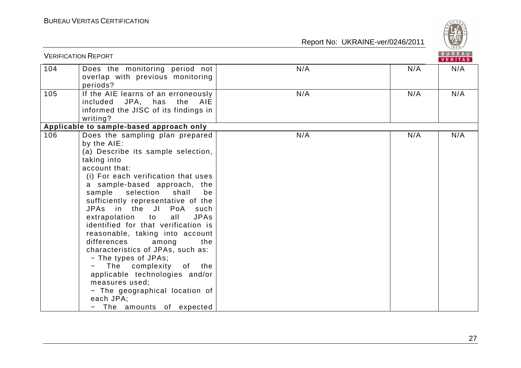

|     | <b>VERIFICATION REPORT</b>                                                                                                                                                                                                                                                                                                                                                                                                                                                                                                                                                                                                                                             |     |     | BUREAU<br><b>VERITAS</b> |
|-----|------------------------------------------------------------------------------------------------------------------------------------------------------------------------------------------------------------------------------------------------------------------------------------------------------------------------------------------------------------------------------------------------------------------------------------------------------------------------------------------------------------------------------------------------------------------------------------------------------------------------------------------------------------------------|-----|-----|--------------------------|
| 104 | Does the monitoring period not<br>overlap with previous monitoring<br>periods?                                                                                                                                                                                                                                                                                                                                                                                                                                                                                                                                                                                         | N/A | N/A | N/A                      |
| 105 | If the AIE learns of an erroneously<br>included JPA, has the AIE<br>informed the JISC of its findings in<br>writing?                                                                                                                                                                                                                                                                                                                                                                                                                                                                                                                                                   | N/A | N/A | N/A                      |
|     | Applicable to sample-based approach only                                                                                                                                                                                                                                                                                                                                                                                                                                                                                                                                                                                                                               |     |     |                          |
| 106 | Does the sampling plan prepared<br>by the AIE:<br>(a) Describe its sample selection,<br>taking into<br>account that:<br>(i) For each verification that uses<br>a sample-based approach, the<br>sample selection shall<br>be<br>sufficiently representative of the<br>JPAs in the JI PoA such<br>extrapolation to<br>all<br><b>JPAs</b><br>identified for that verification is<br>reasonable, taking into account<br>differences<br>among<br>the<br>characteristics of JPAs, such as:<br>- The types of JPAs;<br>The complexity<br>of the<br>applicable technologies and/or<br>measures used;<br>- The geographical location of<br>each JPA;<br>The amounts of expected | N/A | N/A | N/A                      |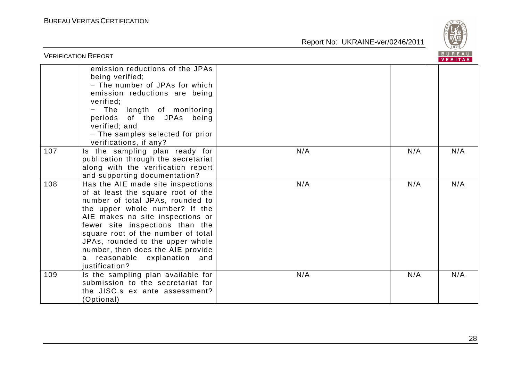

| <b>VERIFICATION REPORT</b> |                                                                                                                                                                                                                                                                                                                                                                                          |     |     | BUREAU<br>VERITAS |
|----------------------------|------------------------------------------------------------------------------------------------------------------------------------------------------------------------------------------------------------------------------------------------------------------------------------------------------------------------------------------------------------------------------------------|-----|-----|-------------------|
|                            | emission reductions of the JPAs<br>being verified;<br>- The number of JPAs for which<br>emission reductions are being<br>verified;<br>- The length of monitoring<br>periods of the JPAs being<br>verified; and<br>- The samples selected for prior<br>verifications, if any?                                                                                                             |     |     |                   |
| 107                        | Is the sampling plan ready for<br>publication through the secretariat<br>along with the verification report<br>and supporting documentation?                                                                                                                                                                                                                                             | N/A | N/A | N/A               |
| 108                        | Has the AIE made site inspections<br>of at least the square root of the<br>number of total JPAs, rounded to<br>the upper whole number? If the<br>AIE makes no site inspections or<br>fewer site inspections than the<br>square root of the number of total<br>JPAs, rounded to the upper whole<br>number, then does the AIE provide<br>reasonable explanation and<br>a<br>justification? | N/A | N/A | N/A               |
| 109                        | Is the sampling plan available for<br>submission to the secretariat for<br>the JISC.s ex ante assessment?<br>(Optional)                                                                                                                                                                                                                                                                  | N/A | N/A | N/A               |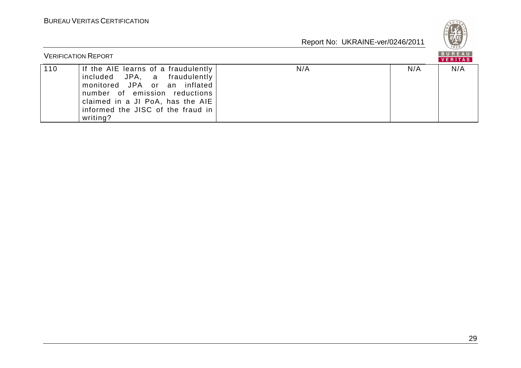

|     | <b>VERIFICATION REPORT</b>                                                                                                                                                                                                |     |     | BUREAU<br>VERITAS |
|-----|---------------------------------------------------------------------------------------------------------------------------------------------------------------------------------------------------------------------------|-----|-----|-------------------|
| 110 | If the AIE learns of a fraudulently<br>included JPA, a fraudulently<br>monitored JPA or an inflated<br>number of emission reductions<br>claimed in a JI PoA, has the AIE<br>informed the JISC of the fraud in<br>writing? | N/A | N/A | N/A               |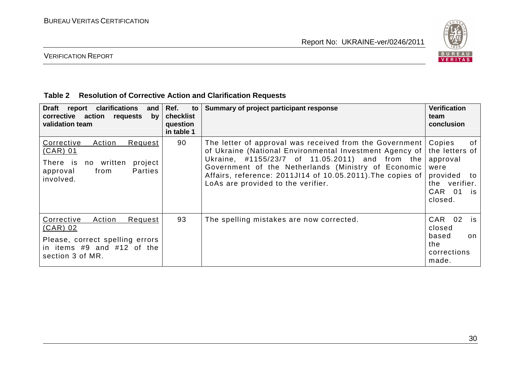

# VERIFICATION REPORT

#### **Table 2 Resolution of Corrective Action and Clarification Requests**

| <b>Draft</b><br>clarifications<br>report<br>and $ $<br>action<br>corrective<br>requests<br>by <sub>l</sub><br>validation team      | Ref.<br>to<br>checklist<br>question<br>in table 1 | Summary of project participant response                                                                                                                                                                                                                                                                                          | <b>Verification</b><br>team<br>conclusion                                                                        |
|------------------------------------------------------------------------------------------------------------------------------------|---------------------------------------------------|----------------------------------------------------------------------------------------------------------------------------------------------------------------------------------------------------------------------------------------------------------------------------------------------------------------------------------|------------------------------------------------------------------------------------------------------------------|
| Corrective<br>Action<br>Request<br>$(CAR)$ 01<br>project<br>There is<br>no written<br>Parties<br>from<br>approval<br>involved.     | 90                                                | The letter of approval was received from the Government<br>of Ukraine (National Environmental Investment Agency of<br>Ukraine, #1155/23/7 of 11.05.2011) and from the<br>Government of the Netherlands (Ministry of Economic<br>Affairs, reference: 2011JI14 of 10.05.2011). The copies of<br>LoAs are provided to the verifier. | Copies<br>0f<br>the letters of<br>approval<br>were<br>provided<br>to<br>the verifier.<br>CAR 01<br>is<br>closed. |
| Corrective<br>Action<br>Request<br>$(CAR)$ 02<br>Please, correct spelling errors<br>in items #9 and #12 of the<br>section 3 of MR. | 93                                                | The spelling mistakes are now corrected.                                                                                                                                                                                                                                                                                         | 02<br>CAR<br>is<br>closed<br>based<br>on<br>the<br>corrections<br>made.                                          |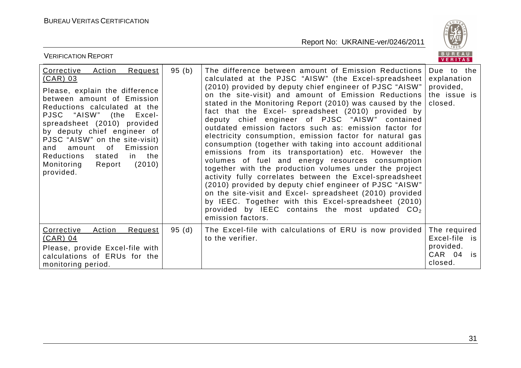

| <b>VERIFICATION REPORT</b>                                                                                                                                                                                                                                                                                                                                                                                      |       |                                                                                                                                                                                                                                                                                                                                                                                                                                                                                                                                                                                                                                                                                                                                                                                                                                                                                                                                                                                                                                                                                 | BUREAU<br><b>VERITAS</b>                                              |
|-----------------------------------------------------------------------------------------------------------------------------------------------------------------------------------------------------------------------------------------------------------------------------------------------------------------------------------------------------------------------------------------------------------------|-------|---------------------------------------------------------------------------------------------------------------------------------------------------------------------------------------------------------------------------------------------------------------------------------------------------------------------------------------------------------------------------------------------------------------------------------------------------------------------------------------------------------------------------------------------------------------------------------------------------------------------------------------------------------------------------------------------------------------------------------------------------------------------------------------------------------------------------------------------------------------------------------------------------------------------------------------------------------------------------------------------------------------------------------------------------------------------------------|-----------------------------------------------------------------------|
| Corrective<br><b>Action</b><br>Request<br><u>(CAR) 03</u><br>Please, explain the difference<br>between amount of Emission<br>Reductions calculated at the<br>PJSC "AISW" (the<br>Excel-<br>spreadsheet (2010) provided<br>by deputy chief engineer of<br>PJSC "AISW" on the site-visit)<br>amount of<br>Emission<br>and<br><b>Reductions</b><br>in the<br>stated<br>(2010)<br>Monitoring<br>Report<br>provided. | 95(b) | The difference between amount of Emission Reductions<br>calculated at the PJSC "AISW" (the Excel-spreadsheet<br>(2010) provided by deputy chief engineer of PJSC "AISW"<br>on the site-visit) and amount of Emission Reductions<br>stated in the Monitoring Report (2010) was caused by the<br>fact that the Excel- spreadsheet (2010) provided by<br>deputy chief engineer of PJSC "AISW" contained<br>outdated emission factors such as: emission factor for<br>electricity consumption, emission factor for natural gas<br>consumption (together with taking into account additional<br>emissions from its transportation) etc. However the<br>volumes of fuel and energy resources consumption<br>together with the production volumes under the project<br>activity fully correlates between the Excel-spreadsheet<br>(2010) provided by deputy chief engineer of PJSC "AISW"<br>on the site-visit and Excel- spreadsheet (2010) provided<br>by IEEC. Together with this Excel-spreadsheet (2010)<br>provided by IEEC contains the most updated $CO2$<br>emission factors. | Due to the<br>explanation<br>provided,<br>the issue is<br>closed.     |
| Corrective<br>Action<br>Request<br>$(CAR)$ 04<br>Please, provide Excel-file with<br>calculations of ERUs for the<br>monitoring period.                                                                                                                                                                                                                                                                          | 95(d) | The Excel-file with calculations of ERU is now provided<br>to the verifier.                                                                                                                                                                                                                                                                                                                                                                                                                                                                                                                                                                                                                                                                                                                                                                                                                                                                                                                                                                                                     | The required<br>Excel-file is<br>provided.<br>CAR 04<br>is<br>closed. |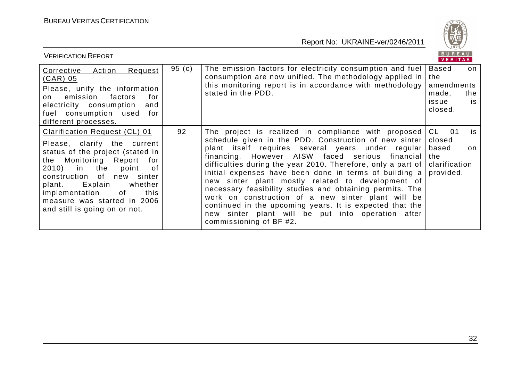

| <b>VERIFICATION REPORT</b>                                                                                                                                                                                                                                                                                     |       |                                                                                                                                                                                                                                                                                                                                                                                                                                                                                                                                                                                                                                                                   | BUREAU<br>VERITAS                                                  |                  |
|----------------------------------------------------------------------------------------------------------------------------------------------------------------------------------------------------------------------------------------------------------------------------------------------------------------|-------|-------------------------------------------------------------------------------------------------------------------------------------------------------------------------------------------------------------------------------------------------------------------------------------------------------------------------------------------------------------------------------------------------------------------------------------------------------------------------------------------------------------------------------------------------------------------------------------------------------------------------------------------------------------------|--------------------------------------------------------------------|------------------|
| Corrective Action<br>Request<br><u>(CAR) 05</u><br>Please, unify the information<br>emission<br>factors<br>for<br>on<br>electricity consumption<br>and<br>fuel consumption used for<br>different processes.                                                                                                    | 95(c) | The emission factors for electricity consumption and fuel<br>consumption are now unified. The methodology applied in<br>this monitoring report is in accordance with methodology<br>stated in the PDD.                                                                                                                                                                                                                                                                                                                                                                                                                                                            | Based<br>the<br>amendments<br>made,<br>issue<br>closed.            | on<br>the<br>is. |
| Clarification Request (CL) 01<br>Please, clarify the current<br>status of the project (stated in<br>the Monitoring Report for<br>2010) in the point<br>of<br>construction of new sinter<br>plant. Explain whether<br>implementation of<br>this<br>measure was started in 2006<br>and still is going on or not. | 92    | The project is realized in compliance with proposed<br>schedule given in the PDD. Construction of new sinter<br>plant itself requires several years under regular<br>financing. However AISW faced serious financial<br>difficulties during the year 2010. Therefore, only a part of<br>initial expenses have been done in terms of building a<br>new sinter plant mostly related to development of<br>necessary feasibility studies and obtaining permits. The<br>work on construction of a new sinter plant will be<br>continued in the upcoming years. It is expected that the<br>new sinter plant will be put into operation after<br>commissioning of BF #2. | CL —<br>01<br>closed<br>based<br>the<br>clarification<br>provided. | is<br>on         |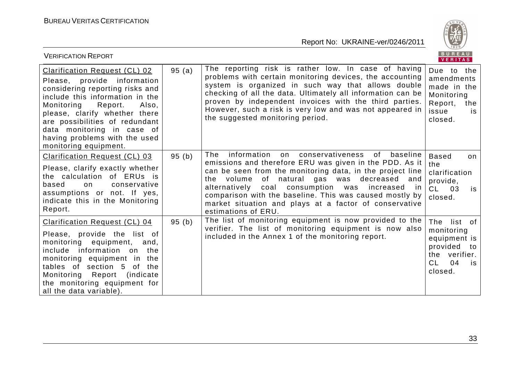

| <b>VERIFICATION REPORT</b>                                                                                                                                                                                                                                                                                                             |       |                                                                                                                                                                                                                                                                                                                                                                                                                                            | <b>BUREAU</b><br>VERITAS                                                                                             |
|----------------------------------------------------------------------------------------------------------------------------------------------------------------------------------------------------------------------------------------------------------------------------------------------------------------------------------------|-------|--------------------------------------------------------------------------------------------------------------------------------------------------------------------------------------------------------------------------------------------------------------------------------------------------------------------------------------------------------------------------------------------------------------------------------------------|----------------------------------------------------------------------------------------------------------------------|
| <b>Clarification Request (CL) 02</b><br>Please, provide information<br>considering reporting risks and<br>include this information in the<br>Monitoring<br>Report.<br>Also,<br>please, clarify whether there<br>are possibilities of redundant<br>data monitoring in case of<br>having problems with the used<br>monitoring equipment. | 95(a) | The reporting risk is rather low. In case of having<br>problems with certain monitoring devices, the accounting<br>system is organized in such way that allows double<br>checking of all the data. Ultimately all information can be<br>proven by independent invoices with the third parties.<br>However, such a risk is very low and was not appeared in<br>the suggested monitoring period.                                             | Due to the<br>amendments<br>made in the<br>Monitoring<br>Report,<br>the<br>issue<br>is.<br>closed.                   |
| Clarification Request (CL) 03<br>Please, clarify exactly whether<br>the calculation of ERUs is<br>based<br>conservative<br>on<br>assumptions or not. If yes,<br>indicate this in the Monitoring<br>Report.                                                                                                                             | 95(b) | information<br>The<br>conservativeness<br>baseline<br>of<br>on<br>emissions and therefore ERU was given in the PDD. As it<br>can be seen from the monitoring data, in the project line<br>the volume of natural gas was decreased and<br>coal consumption was<br>alternatively<br>increased in<br>comparison with the baseline. This was caused mostly by<br>market situation and plays at a factor of conservative<br>estimations of ERU. | <b>Based</b><br>on<br>the<br>clarification<br>provide,<br>03<br>CL —<br>is<br>closed.                                |
| <b>Clarification Request (CL) 04</b><br>Please, provide the list of<br>monitoring equipment,<br>and,<br>include information on<br>the<br>monitoring equipment in the<br>tables of section 5 of<br>the<br>Monitoring Report (indicate<br>the monitoring equipment for<br>all the data variable).                                        | 95(b) | The list of monitoring equipment is now provided to the<br>verifier. The list of monitoring equipment is now also<br>included in the Annex 1 of the monitoring report.                                                                                                                                                                                                                                                                     | The list of<br>monitoring<br>equipment is<br>provided<br>to<br>verifier.<br>the<br>CL.<br>04<br><b>is</b><br>closed. |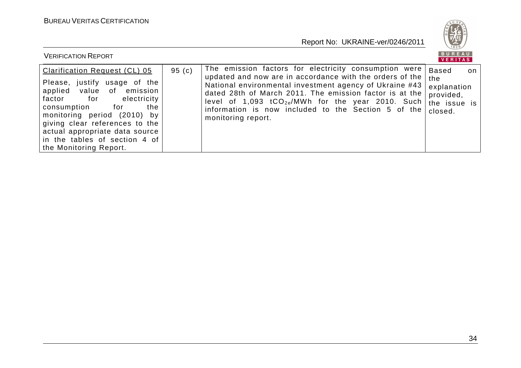

| <b>VERIFICATION REPORT</b>                                                                                                                                                                                                                                                                                                |       |                                                                                                                                                                                                                                                                                                                                                                               | BUREAU<br><b>VERITAS</b>                                                         |
|---------------------------------------------------------------------------------------------------------------------------------------------------------------------------------------------------------------------------------------------------------------------------------------------------------------------------|-------|-------------------------------------------------------------------------------------------------------------------------------------------------------------------------------------------------------------------------------------------------------------------------------------------------------------------------------------------------------------------------------|----------------------------------------------------------------------------------|
| <b>Clarification Request (CL) 05</b><br>Please, justify usage of the<br>applied<br>value of emission<br>factor for<br>electricity<br>consumption for<br>the<br>monitoring period (2010) by<br>giving clear references to the<br>actual appropriate data source<br>in the tables of section 4 of<br>the Monitoring Report. | 95(c) | The emission factors for electricity consumption were<br>updated and now are in accordance with the orders of the<br>National environmental investment agency of Ukraine #43<br>dated 28th of March 2011. The emission factor is at the<br>level of 1,093 $tCO_{2e}/MWh$ for the year 2010. Such<br>information is now included to the Section 5 of the<br>monitoring report. | <b>Based</b><br>on<br>the<br>explanation<br>provided,<br>the issue is<br>closed. |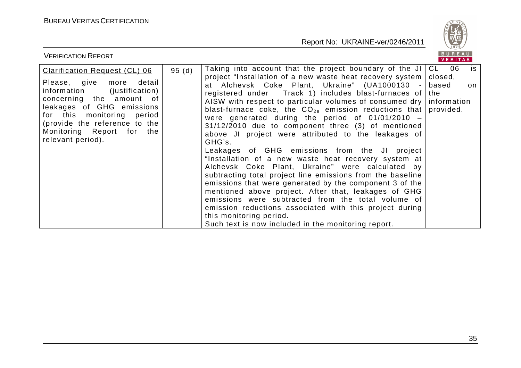

| <b>VERIFICATION REPORT</b>                                                                                                                                                                                                                                                         |       |                                                                                                                                                                                                                                                                                                                                                                                                                                                                                                                                                                                                                                                                                                                                                                                                                                                                                                                                                                                                                                                                                                                                            | BUREAU<br>VERITAS |          |
|------------------------------------------------------------------------------------------------------------------------------------------------------------------------------------------------------------------------------------------------------------------------------------|-------|--------------------------------------------------------------------------------------------------------------------------------------------------------------------------------------------------------------------------------------------------------------------------------------------------------------------------------------------------------------------------------------------------------------------------------------------------------------------------------------------------------------------------------------------------------------------------------------------------------------------------------------------------------------------------------------------------------------------------------------------------------------------------------------------------------------------------------------------------------------------------------------------------------------------------------------------------------------------------------------------------------------------------------------------------------------------------------------------------------------------------------------------|-------------------|----------|
| <b>Clarification Request (CL) 06</b><br>Please, give<br>detail<br>more<br>(justification)<br>information<br>concerning the amount of<br>leakages of GHG emissions<br>for this monitoring period<br>(provide the reference to the<br>Monitoring Report for the<br>relevant period). | 95(d) | Taking into account that the project boundary of the JI $ CL$ 06<br>project "Installation of a new waste heat recovery system   closed,<br>at Alchevsk Coke Plant, Ukraine" (UA1000130 -<br>registered under $\Box$ Track 1) includes blast-furnaces of the<br>AISW with respect to particular volumes of consumed dry   information<br>blast-furnace coke, the $CO_{2e}$ emission reductions that provided.<br>were generated during the period of $01/01/2010 -$<br>31/12/2010 due to component three (3) of mentioned<br>above JI project were attributed to the leakages of<br>GHG's.<br>Leakages of GHG emissions from the JI project<br>"Installation of a new waste heat recovery system at<br>Alchevsk Coke Plant, Ukraine" were calculated by<br>subtracting total project line emissions from the baseline<br>emissions that were generated by the component 3 of the<br>mentioned above project. After that, leakages of GHG<br>emissions were subtracted from the total volume of<br>emission reductions associated with this project during<br>this monitoring period.<br>Such text is now included in the monitoring report. | based             | is<br>on |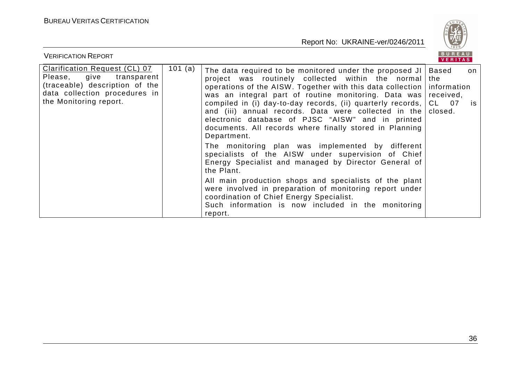

| <b>VERIFICATION REPORT</b>                                                                                                                                    |         |                                                                                                                                                                                                                                                                                                                                                                                                                                                                                                                                                                                                                                                                          | BUREAU<br>VERITAS                                            |          |
|---------------------------------------------------------------------------------------------------------------------------------------------------------------|---------|--------------------------------------------------------------------------------------------------------------------------------------------------------------------------------------------------------------------------------------------------------------------------------------------------------------------------------------------------------------------------------------------------------------------------------------------------------------------------------------------------------------------------------------------------------------------------------------------------------------------------------------------------------------------------|--------------------------------------------------------------|----------|
| <b>Clarification Request (CL) 07</b><br>Please, give transparent<br>(traceable) description of the<br>data collection procedures in<br>the Monitoring report. | 101 (a) | The data required to be monitored under the proposed JI<br>project was routinely collected within the normal<br>operations of the AISW. Together with this data collection<br>was an integral part of routine monitoring. Data was<br>compiled in (i) day-to-day records, (ii) quarterly records,<br>and (iii) annual records. Data were collected in the<br>electronic database of PJSC "AISW" and in printed<br>documents. All records where finally stored in Planning<br>Department.<br>The monitoring plan was implemented by different<br>specialists of the AISW under supervision of Chief<br>Energy Specialist and managed by Director General of<br>the Plant. | Based<br>the<br>information<br>received,<br>CL 07<br>closed. | on<br>is |
|                                                                                                                                                               |         | All main production shops and specialists of the plant<br>were involved in preparation of monitoring report under<br>coordination of Chief Energy Specialist.<br>Such information is now included in the monitoring<br>report.                                                                                                                                                                                                                                                                                                                                                                                                                                           |                                                              |          |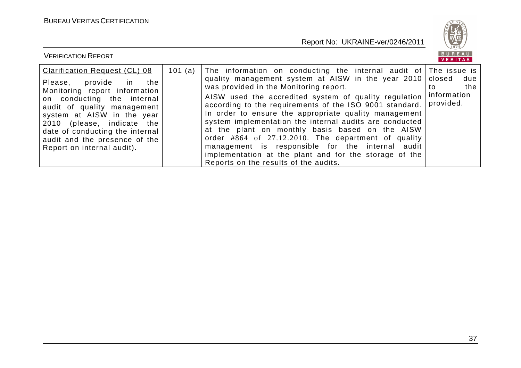

| <b>VERIFICATION REPORT</b>                                                                                                                                                                                                                                                                                                    |         |                                                                                                                                                                                                                                                                                                                                                                                                                                                                                                                                                                                                                                                                              | BUREAU<br>VERITAS                                      |
|-------------------------------------------------------------------------------------------------------------------------------------------------------------------------------------------------------------------------------------------------------------------------------------------------------------------------------|---------|------------------------------------------------------------------------------------------------------------------------------------------------------------------------------------------------------------------------------------------------------------------------------------------------------------------------------------------------------------------------------------------------------------------------------------------------------------------------------------------------------------------------------------------------------------------------------------------------------------------------------------------------------------------------------|--------------------------------------------------------|
| <b>Clarification Request (CL) 08</b><br>the<br>Please, provide in<br>Monitoring report information<br>on conducting the internal<br>audit of quality management<br>system at AISW in the year<br>2010 (please, indicate the<br>date of conducting the internal<br>audit and the presence of the<br>Report on internal audit). | 101 (a) | The information on conducting the internal audit of The issue is<br>quality management system at AISW in the year 2010<br>was provided in the Monitoring report.<br>AISW used the accredited system of quality regulation<br>according to the requirements of the ISO 9001 standard.<br>In order to ensure the appropriate quality management<br>system implementation the internal audits are conducted<br>at the plant on monthly basis based on the AISW<br>order $\#864$ of 27.12.2010. The department of quality<br>management is responsible for the internal audit<br>implementation at the plant and for the storage of the<br>Reports on the results of the audits. | closed<br>due<br>the<br>to<br>information<br>provided. |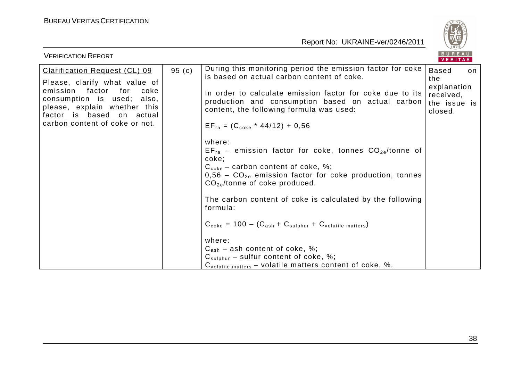

| <b>VERIFICATION REPORT</b>                                                                                                                                                                                                                    |                                                                                                                                                                                                                                                                                                                                                                                                                                                                                                                                                                                                                                                                                                                                                                                                                                                                                                                        | <b>BUREAU</b><br><b>VERITAS</b>                                                  |
|-----------------------------------------------------------------------------------------------------------------------------------------------------------------------------------------------------------------------------------------------|------------------------------------------------------------------------------------------------------------------------------------------------------------------------------------------------------------------------------------------------------------------------------------------------------------------------------------------------------------------------------------------------------------------------------------------------------------------------------------------------------------------------------------------------------------------------------------------------------------------------------------------------------------------------------------------------------------------------------------------------------------------------------------------------------------------------------------------------------------------------------------------------------------------------|----------------------------------------------------------------------------------|
| 95(c)<br><b>Clarification Request (CL) 09</b><br>Please, clarify what value of<br>emission factor<br>for<br>coke<br>consumption is used; also,<br>please, explain whether this<br>factor is based on actual<br>carbon content of coke or not. | During this monitoring period the emission factor for coke<br>is based on actual carbon content of coke.<br>In order to calculate emission factor for coke due to its<br>production and consumption based on actual carbon<br>content, the following formula was used:<br>$EF_{ra} = (C_{coke} * 44/12) + 0.56$<br>where:<br>$EF_{ra}$ – emission factor for coke, tonnes $CO_{2e}/t$ onne of<br>coke;<br>$C_{\text{code}}$ – carbon content of coke, %;<br>$0.56$ – $CO_{2e}$ emission factor for coke production, tonnes<br>$CO_{2e}/$ tonne of coke produced.<br>The carbon content of coke is calculated by the following<br>formula:<br>$C_{\text{code}} = 100 - (C_{\text{ash}} + C_{\text{subhur}} + C_{\text{volatile matters}})$<br>where:<br>$C_{ash}$ – ash content of coke, %;<br>$C_{\text{subhur}}$ – sulfur content of coke, %;<br>C <sub>volatile matters</sub> - volatile matters content of coke, %. | <b>Based</b><br>on<br>the<br>explanation<br>received,<br>the issue is<br>closed. |